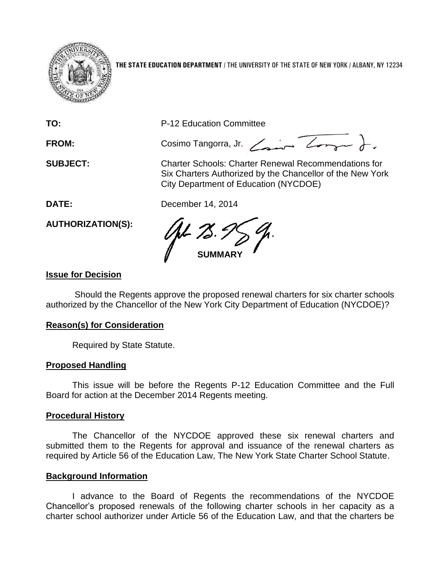

**THE STATE EDUCATION DEPARTMENT** / THE UNIVERSITY OF THE STATE OF NEW YORK / ALBANY, NY 12234

**TO:** P-12 Education Committee

FROM: Cosimo Tangorra, Jr. <del>Company D</del>.

**SUBJECT:** Charter Schools: Charter Renewal Recommendations for Six Charters Authorized by the Chancellor of the New York City Department of Education (NYCDOE)

**DATE:** December 14, 2014

**AUTHORIZATION(S):**

**SUMMARY**

## **Issue for Decision**

Should the Regents approve the proposed renewal charters for six charter schools authorized by the Chancellor of the New York City Department of Education (NYCDOE)?

## **Reason(s) for Consideration**

Required by State Statute.

## **Proposed Handling**

This issue will be before the Regents P-12 Education Committee and the Full Board for action at the December 2014 Regents meeting.

## **Procedural History**

The Chancellor of the NYCDOE approved these six renewal charters and submitted them to the Regents for approval and issuance of the renewal charters as required by Article 56 of the Education Law, The New York State Charter School Statute.

## **Background Information**

I advance to the Board of Regents the recommendations of the NYCDOE Chancellor's proposed renewals of the following charter schools in her capacity as a charter school authorizer under Article 56 of the Education Law, and that the charters be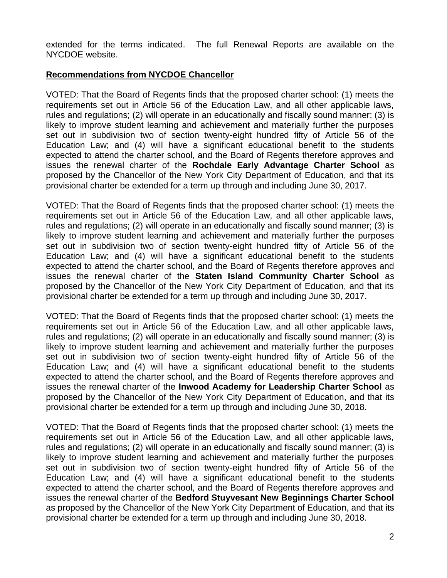extended for the terms indicated. The full Renewal Reports are available on the NYCDOE website.

## **Recommendations from NYCDOE Chancellor**

VOTED: That the Board of Regents finds that the proposed charter school: (1) meets the requirements set out in Article 56 of the Education Law, and all other applicable laws, rules and regulations; (2) will operate in an educationally and fiscally sound manner; (3) is likely to improve student learning and achievement and materially further the purposes set out in subdivision two of section twenty-eight hundred fifty of Article 56 of the Education Law; and (4) will have a significant educational benefit to the students expected to attend the charter school, and the Board of Regents therefore approves and issues the renewal charter of the **Rochdale Early Advantage Charter School** as proposed by the Chancellor of the New York City Department of Education, and that its provisional charter be extended for a term up through and including June 30, 2017.

VOTED: That the Board of Regents finds that the proposed charter school: (1) meets the requirements set out in Article 56 of the Education Law, and all other applicable laws, rules and regulations; (2) will operate in an educationally and fiscally sound manner; (3) is likely to improve student learning and achievement and materially further the purposes set out in subdivision two of section twenty-eight hundred fifty of Article 56 of the Education Law; and (4) will have a significant educational benefit to the students expected to attend the charter school, and the Board of Regents therefore approves and issues the renewal charter of the **Staten Island Community Charter School** as proposed by the Chancellor of the New York City Department of Education, and that its provisional charter be extended for a term up through and including June 30, 2017.

VOTED: That the Board of Regents finds that the proposed charter school: (1) meets the requirements set out in Article 56 of the Education Law, and all other applicable laws, rules and regulations; (2) will operate in an educationally and fiscally sound manner; (3) is likely to improve student learning and achievement and materially further the purposes set out in subdivision two of section twenty-eight hundred fifty of Article 56 of the Education Law; and (4) will have a significant educational benefit to the students expected to attend the charter school, and the Board of Regents therefore approves and issues the renewal charter of the **Inwood Academy for Leadership Charter School** as proposed by the Chancellor of the New York City Department of Education, and that its provisional charter be extended for a term up through and including June 30, 2018.

VOTED: That the Board of Regents finds that the proposed charter school: (1) meets the requirements set out in Article 56 of the Education Law, and all other applicable laws, rules and regulations; (2) will operate in an educationally and fiscally sound manner; (3) is likely to improve student learning and achievement and materially further the purposes set out in subdivision two of section twenty-eight hundred fifty of Article 56 of the Education Law; and (4) will have a significant educational benefit to the students expected to attend the charter school, and the Board of Regents therefore approves and issues the renewal charter of the **Bedford Stuyvesant New Beginnings Charter School** as proposed by the Chancellor of the New York City Department of Education, and that its provisional charter be extended for a term up through and including June 30, 2018.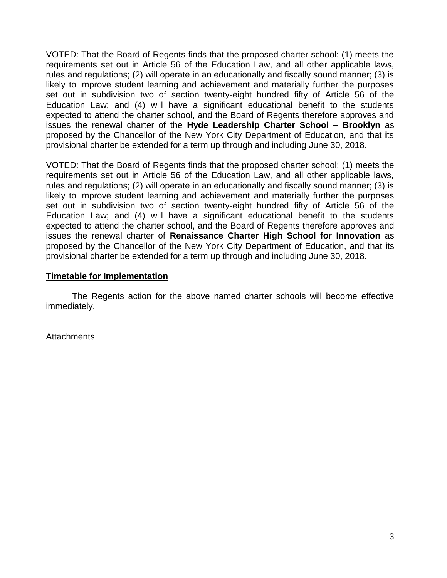VOTED: That the Board of Regents finds that the proposed charter school: (1) meets the requirements set out in Article 56 of the Education Law, and all other applicable laws, rules and regulations; (2) will operate in an educationally and fiscally sound manner; (3) is likely to improve student learning and achievement and materially further the purposes set out in subdivision two of section twenty-eight hundred fifty of Article 56 of the Education Law; and (4) will have a significant educational benefit to the students expected to attend the charter school, and the Board of Regents therefore approves and issues the renewal charter of the **Hyde Leadership Charter School – Brooklyn** as proposed by the Chancellor of the New York City Department of Education, and that its provisional charter be extended for a term up through and including June 30, 2018.

VOTED: That the Board of Regents finds that the proposed charter school: (1) meets the requirements set out in Article 56 of the Education Law, and all other applicable laws, rules and regulations; (2) will operate in an educationally and fiscally sound manner; (3) is likely to improve student learning and achievement and materially further the purposes set out in subdivision two of section twenty-eight hundred fifty of Article 56 of the Education Law; and (4) will have a significant educational benefit to the students expected to attend the charter school, and the Board of Regents therefore approves and issues the renewal charter of **Renaissance Charter High School for Innovation** as proposed by the Chancellor of the New York City Department of Education, and that its provisional charter be extended for a term up through and including June 30, 2018.

## **Timetable for Implementation**

The Regents action for the above named charter schools will become effective immediately.

**Attachments**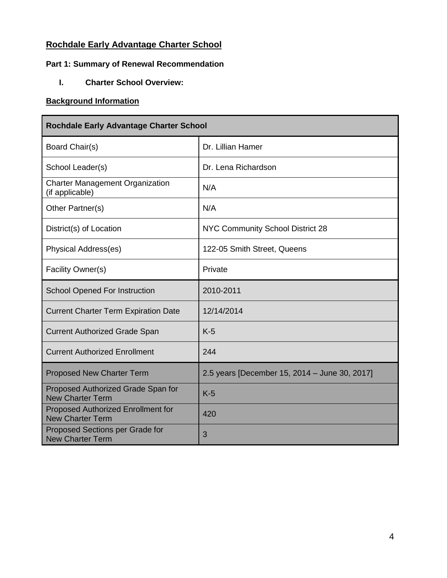## **Rochdale Early Advantage Charter School**

## **Part 1: Summary of Renewal Recommendation**

**I. Charter School Overview:**

## **Background Information**

| <b>Rochdale Early Advantage Charter School</b>                |                                               |
|---------------------------------------------------------------|-----------------------------------------------|
| Board Chair(s)                                                | Dr. Lillian Hamer                             |
| School Leader(s)                                              | Dr. Lena Richardson                           |
| <b>Charter Management Organization</b><br>(if applicable)     | N/A                                           |
| Other Partner(s)                                              | N/A                                           |
| District(s) of Location                                       | NYC Community School District 28              |
| Physical Address(es)                                          | 122-05 Smith Street, Queens                   |
| Facility Owner(s)                                             | Private                                       |
| <b>School Opened For Instruction</b>                          | 2010-2011                                     |
| <b>Current Charter Term Expiration Date</b>                   | 12/14/2014                                    |
| <b>Current Authorized Grade Span</b>                          | $K-5$                                         |
| <b>Current Authorized Enrollment</b>                          | 244                                           |
| <b>Proposed New Charter Term</b>                              | 2.5 years [December 15, 2014 - June 30, 2017] |
| Proposed Authorized Grade Span for<br><b>New Charter Term</b> | $K-5$                                         |
| Proposed Authorized Enrollment for<br><b>New Charter Term</b> | 420                                           |
| Proposed Sections per Grade for<br><b>New Charter Term</b>    | 3                                             |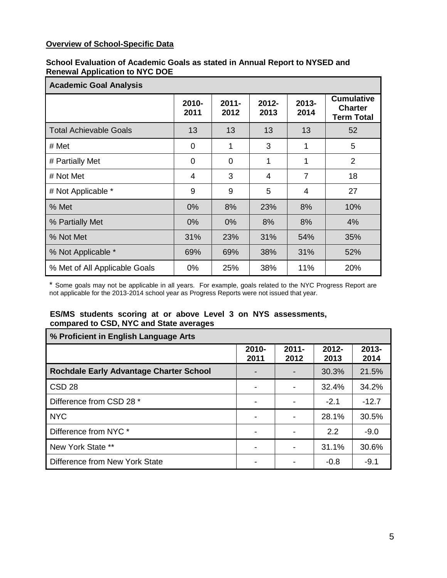## **Overview of School-Specific Data**

#### **School Evaluation of Academic Goals as stated in Annual Report to NYSED and Renewal Application to NYC DOE**

| <b>Academic Goal Analysis</b> |               |                  |                  |                |                                                          |
|-------------------------------|---------------|------------------|------------------|----------------|----------------------------------------------------------|
|                               | 2010-<br>2011 | $2011 -$<br>2012 | $2012 -$<br>2013 | 2013-<br>2014  | <b>Cumulative</b><br><b>Charter</b><br><b>Term Total</b> |
| <b>Total Achievable Goals</b> | 13            | 13               | 13               | 13             | 52                                                       |
| # Met                         | 0             | 1                | 3                | 1              | 5                                                        |
| # Partially Met               | 0             | 0                | 1                | 1              | $\overline{2}$                                           |
| # Not Met                     | 4             | 3                | 4                | $\overline{7}$ | 18                                                       |
| # Not Applicable *            | 9             | 9                | 5                | 4              | 27                                                       |
| % Met                         | 0%            | 8%               | 23%              | 8%             | 10%                                                      |
| % Partially Met               | $0\%$         | $0\%$            | 8%               | 8%             | 4%                                                       |
| % Not Met                     | 31%           | 23%              | 31%              | 54%            | 35%                                                      |
| % Not Applicable *            | 69%           | 69%              | 38%              | 31%            | 52%                                                      |
| % Met of All Applicable Goals | 0%            | 25%              | 38%              | 11%            | 20%                                                      |

\* Some goals may not be applicable in all years. For example, goals related to the NYC Progress Report are not applicable for the 2013-2014 school year as Progress Reports were not issued that year.

#### **ES/MS students scoring at or above Level 3 on NYS assessments, compared to CSD, NYC and State averages**

| % Proficient in English Language Arts          |               |                  |                  |                  |
|------------------------------------------------|---------------|------------------|------------------|------------------|
|                                                | 2010-<br>2011 | $2011 -$<br>2012 | $2012 -$<br>2013 | $2013 -$<br>2014 |
| <b>Rochdale Early Advantage Charter School</b> |               |                  | 30.3%            | 21.5%            |
| CSD <sub>28</sub>                              |               |                  | 32.4%            | 34.2%            |
| Difference from CSD 28 *                       |               |                  | $-2.1$           | $-12.7$          |
| <b>NYC</b>                                     |               |                  | 28.1%            | 30.5%            |
| Difference from NYC *                          |               |                  | 2.2              | $-9.0$           |
| New York State **                              |               |                  | 31.1%            | 30.6%            |
| Difference from New York State                 |               |                  | $-0.8$           | $-9.1$           |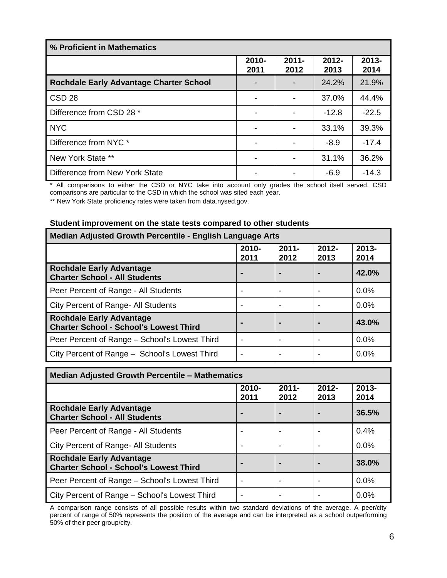| % Proficient in Mathematics                    |               |                  |                  |                  |
|------------------------------------------------|---------------|------------------|------------------|------------------|
|                                                | 2010-<br>2011 | $2011 -$<br>2012 | $2012 -$<br>2013 | $2013 -$<br>2014 |
| <b>Rochdale Early Advantage Charter School</b> |               |                  | 24.2%            | 21.9%            |
| CSD <sub>28</sub>                              |               |                  | 37.0%            | 44.4%            |
| Difference from CSD 28 *                       |               |                  | $-12.8$          | $-22.5$          |
| <b>NYC</b>                                     |               |                  | 33.1%            | 39.3%            |
| Difference from NYC *                          |               |                  | $-8.9$           | $-17.4$          |
| New York State **                              |               |                  | 31.1%            | 36.2%            |
| Difference from New York State                 |               |                  | $-6.9$           | $-14.3$          |

\* All comparisons to either the CSD or NYC take into account only grades the school itself served. CSD comparisons are particular to the CSD in which the school was sited each year.

\*\* New York State proficiency rates were taken from data.nysed.gov.

# **Student improvement on the state tests compared to other students**

| Median Adjusted Growth Percentile - English Language Arts                        |                          |                  |                  |                  |
|----------------------------------------------------------------------------------|--------------------------|------------------|------------------|------------------|
|                                                                                  | $2010 -$<br>2011         | $2011 -$<br>2012 | $2012 -$<br>2013 | $2013 -$<br>2014 |
| <b>Rochdale Early Advantage</b><br><b>Charter School - All Students</b>          | $\blacksquare$           |                  |                  | 42.0%            |
| Peer Percent of Range - All Students                                             |                          |                  |                  | 0.0%             |
| City Percent of Range- All Students                                              | $\overline{\phantom{a}}$ |                  |                  | 0.0%             |
| <b>Rochdale Early Advantage</b><br><b>Charter School - School's Lowest Third</b> | $\blacksquare$           |                  |                  | 43.0%            |
| Peer Percent of Range – School's Lowest Third                                    | $\overline{\phantom{a}}$ |                  |                  | 0.0%             |
| City Percent of Range - School's Lowest Third                                    | $\overline{\phantom{a}}$ |                  |                  | 0.0%             |

| <b>Median Adjusted Growth Percentile - Mathematics</b>                           |                          |                  |                  |                  |
|----------------------------------------------------------------------------------|--------------------------|------------------|------------------|------------------|
|                                                                                  | $2010 -$<br>2011         | $2011 -$<br>2012 | $2012 -$<br>2013 | $2013 -$<br>2014 |
| <b>Rochdale Early Advantage</b><br><b>Charter School - All Students</b>          | $\blacksquare$           |                  |                  | 36.5%            |
| Peer Percent of Range - All Students                                             |                          |                  |                  | 0.4%             |
| City Percent of Range- All Students                                              | -                        |                  |                  | 0.0%             |
| <b>Rochdale Early Advantage</b><br><b>Charter School - School's Lowest Third</b> | $\blacksquare$           |                  |                  | 38.0%            |
| Peer Percent of Range – School's Lowest Third                                    |                          |                  |                  | 0.0%             |
| City Percent of Range – School's Lowest Third                                    | $\overline{\phantom{0}}$ |                  |                  | 0.0%             |

A comparison range consists of all possible results within two standard deviations of the average. A peer/city percent of range of 50% represents the position of the average and can be interpreted as a school outperforming 50% of their peer group/city.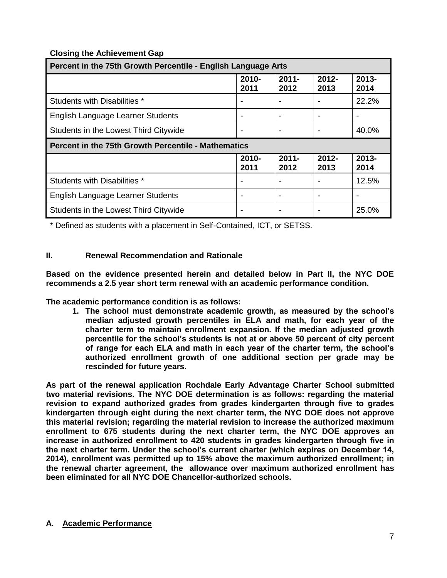## **Closing the Achievement Gap**

| Percent in the 75th Growth Percentile - English Language Arts |                  |                  |                  |                  |
|---------------------------------------------------------------|------------------|------------------|------------------|------------------|
|                                                               | $2010 -$<br>2011 | $2011 -$<br>2012 | $2012 -$<br>2013 | $2013 -$<br>2014 |
| Students with Disabilities *                                  |                  |                  |                  | 22.2%            |
| English Language Learner Students                             |                  |                  |                  |                  |
| Students in the Lowest Third Citywide                         |                  |                  |                  | 40.0%            |
| Percent in the 75th Growth Percentile - Mathematics           |                  |                  |                  |                  |
|                                                               |                  |                  |                  |                  |
|                                                               | $2010 -$<br>2011 | $2011 -$<br>2012 | $2012 -$<br>2013 | $2013 -$<br>2014 |
| Students with Disabilities *                                  |                  |                  |                  | 12.5%            |
| English Language Learner Students                             |                  |                  |                  |                  |

\* Defined as students with a placement in Self-Contained, ICT, or SETSS.

## **II. Renewal Recommendation and Rationale**

**Based on the evidence presented herein and detailed below in Part II, the NYC DOE recommends a 2.5 year short term renewal with an academic performance condition.** 

**The academic performance condition is as follows:**

**1. The school must demonstrate academic growth, as measured by the school's median adjusted growth percentiles in ELA and math, for each year of the charter term to maintain enrollment expansion. If the median adjusted growth percentile for the school's students is not at or above 50 percent of city percent of range for each ELA and math in each year of the charter term, the school's authorized enrollment growth of one additional section per grade may be rescinded for future years.**

**As part of the renewal application Rochdale Early Advantage Charter School submitted two material revisions. The NYC DOE determination is as follows: regarding the material revision to expand authorized grades from grades kindergarten through five to grades kindergarten through eight during the next charter term, the NYC DOE does not approve this material revision; regarding the material revision to increase the authorized maximum enrollment to 675 students during the next charter term, the NYC DOE approves an increase in authorized enrollment to 420 students in grades kindergarten through five in the next charter term. Under the school's current charter (which expires on December 14, 2014), enrollment was permitted up to 15% above the maximum authorized enrollment; in the renewal charter agreement, the allowance over maximum authorized enrollment has been eliminated for all NYC DOE Chancellor-authorized schools.**

#### **A. Academic Performance**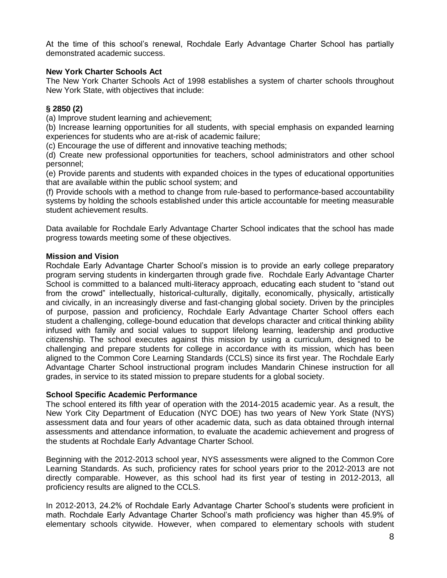At the time of this school's renewal, Rochdale Early Advantage Charter School has partially demonstrated academic success.

#### **New York Charter Schools Act**

The New York Charter Schools Act of 1998 establishes a system of charter schools throughout New York State, with objectives that include:

#### **§ 2850 (2)**

(a) Improve student learning and achievement;

(b) Increase learning opportunities for all students, with special emphasis on expanded learning experiences for students who are at-risk of academic failure;

(c) Encourage the use of different and innovative teaching methods;

(d) Create new professional opportunities for teachers, school administrators and other school personnel;

(e) Provide parents and students with expanded choices in the types of educational opportunities that are available within the public school system; and

(f) Provide schools with a method to change from rule-based to performance-based accountability systems by holding the schools established under this article accountable for meeting measurable student achievement results.

Data available for Rochdale Early Advantage Charter School indicates that the school has made progress towards meeting some of these objectives.

#### **Mission and Vision**

Rochdale Early Advantage Charter School's mission is to provide an early college preparatory program serving students in kindergarten through grade five. Rochdale Early Advantage Charter School is committed to a balanced multi-literacy approach, educating each student to "stand out from the crowd" intellectually, historical-culturally, digitally, economically, physically, artistically and civically, in an increasingly diverse and fast-changing global society. Driven by the principles of purpose, passion and proficiency, Rochdale Early Advantage Charter School offers each student a challenging, college-bound education that develops character and critical thinking ability infused with family and social values to support lifelong learning, leadership and productive citizenship. The school executes against this mission by using a curriculum, designed to be challenging and prepare students for college in accordance with its mission, which has been aligned to the Common Core Learning Standards (CCLS) since its first year. The Rochdale Early Advantage Charter School instructional program includes Mandarin Chinese instruction for all grades, in service to its stated mission to prepare students for a global society.

#### **School Specific Academic Performance**

The school entered its fifth year of operation with the 2014-2015 academic year. As a result, the New York City Department of Education (NYC DOE) has two years of New York State (NYS) assessment data and four years of other academic data, such as data obtained through internal assessments and attendance information, to evaluate the academic achievement and progress of the students at Rochdale Early Advantage Charter School.

Beginning with the 2012-2013 school year, NYS assessments were aligned to the Common Core Learning Standards. As such, proficiency rates for school years prior to the 2012-2013 are not directly comparable. However, as this school had its first year of testing in 2012-2013, all proficiency results are aligned to the CCLS.

In 2012-2013, 24.2% of Rochdale Early Advantage Charter School's students were proficient in math. Rochdale Early Advantage Charter School's math proficiency was higher than 45.9% of elementary schools citywide. However, when compared to elementary schools with student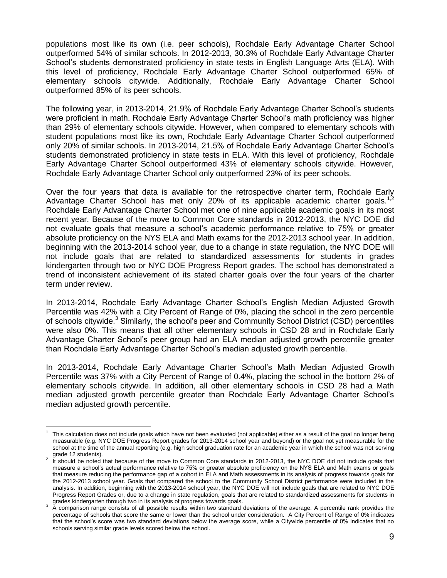populations most like its own (i.e. peer schools), Rochdale Early Advantage Charter School outperformed 54% of similar schools. In 2012-2013, 30.3% of Rochdale Early Advantage Charter School's students demonstrated proficiency in state tests in English Language Arts (ELA). With this level of proficiency, Rochdale Early Advantage Charter School outperformed 65% of elementary schools citywide. Additionally, Rochdale Early Advantage Charter School outperformed 85% of its peer schools.

The following year, in 2013-2014, 21.9% of Rochdale Early Advantage Charter School's students were proficient in math. Rochdale Early Advantage Charter School's math proficiency was higher than 29% of elementary schools citywide. However, when compared to elementary schools with student populations most like its own, Rochdale Early Advantage Charter School outperformed only 20% of similar schools. In 2013-2014, 21.5% of Rochdale Early Advantage Charter School's students demonstrated proficiency in state tests in ELA. With this level of proficiency, Rochdale Early Advantage Charter School outperformed 43% of elementary schools citywide. However, Rochdale Early Advantage Charter School only outperformed 23% of its peer schools.

Over the four years that data is available for the retrospective charter term, Rochdale Early Advantage Charter School has met only 20% of its applicable academic charter goals.<sup>1,2</sup> Rochdale Early Advantage Charter School met one of nine applicable academic goals in its most recent year. Because of the move to Common Core standards in 2012-2013, the NYC DOE did not evaluate goals that measure a school's academic performance relative to 75% or greater absolute proficiency on the NYS ELA and Math exams for the 2012-2013 school year. In addition, beginning with the 2013-2014 school year, due to a change in state regulation, the NYC DOE will not include goals that are related to standardized assessments for students in grades kindergarten through two or NYC DOE Progress Report grades. The school has demonstrated a trend of inconsistent achievement of its stated charter goals over the four years of the charter term under review.

In 2013-2014, Rochdale Early Advantage Charter School's English Median Adjusted Growth Percentile was 42% with a City Percent of Range of 0%, placing the school in the zero percentile of schools citywide.<sup>3</sup> Similarly, the school's peer and Community School District (CSD) percentiles were also 0%. This means that all other elementary schools in CSD 28 and in Rochdale Early Advantage Charter School's peer group had an ELA median adjusted growth percentile greater than Rochdale Early Advantage Charter School's median adjusted growth percentile.

In 2013-2014, Rochdale Early Advantage Charter School's Math Median Adjusted Growth Percentile was 37% with a City Percent of Range of 0.4%, placing the school in the bottom 2% of elementary schools citywide. In addition, all other elementary schools in CSD 28 had a Math median adjusted growth percentile greater than Rochdale Early Advantage Charter School's median adjusted growth percentile.

 $\overline{a}$ 1 This calculation does not include goals which have not been evaluated (not applicable) either as a result of the goal no longer being measurable (e.g. NYC DOE Progress Report grades for 2013-2014 school year and beyond) or the goal not yet measurable for the school at the time of the annual reporting (e.g. high school graduation rate for an academic year in which the school was not serving grade 12 students).

 $2$  It should be noted that because of the move to Common Core standards in 2012-2013, the NYC DOE did not include goals that measure a school's actual performance relative to 75% or greater absolute proficiency on the NYS ELA and Math exams or goals that measure reducing the performance gap of a cohort in ELA and Math assessments in its analysis of progress towards goals for the 2012-2013 school year. Goals that compared the school to the Community School District performance were included in the analysis. In addition, beginning with the 2013-2014 school year, the NYC DOE will not include goals that are related to NYC DOE Progress Report Grades or, due to a change in state regulation, goals that are related to standardized assessments for students in

grades kindergarten through two in its analysis of progress towards goals.<br><sup>3</sup> A comparison range consists of all possible results within two standard deviations of the average. A percentile rank provides the percentage of schools that score the same or lower than the school under consideration. A City Percent of Range of 0% indicates that the school's score was two standard deviations below the average score, while a Citywide percentile of 0% indicates that no schools serving similar grade levels scored below the school.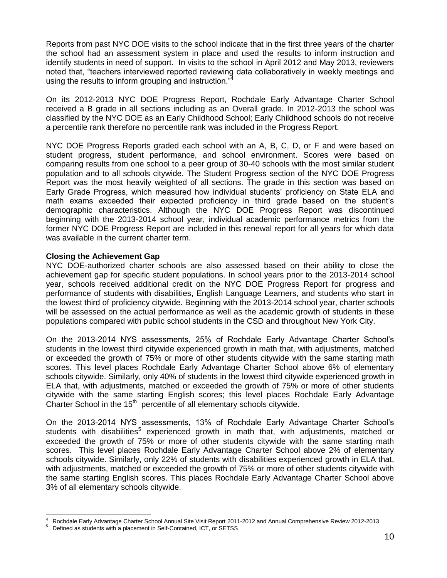Reports from past NYC DOE visits to the school indicate that in the first three years of the charter the school had an assessment system in place and used the results to inform instruction and identify students in need of support. In visits to the school in April 2012 and May 2013, reviewers noted that, "teachers interviewed reported reviewing data collaboratively in weekly meetings and using the results to inform grouping and instruction."

On its 2012-2013 NYC DOE Progress Report, Rochdale Early Advantage Charter School received a B grade in all sections including as an Overall grade. In 2012-2013 the school was classified by the NYC DOE as an Early Childhood School; Early Childhood schools do not receive a percentile rank therefore no percentile rank was included in the Progress Report.

NYC DOE Progress Reports graded each school with an A, B, C, D, or F and were based on student progress, student performance, and school environment. Scores were based on comparing results from one school to a peer group of 30-40 schools with the most similar student population and to all schools citywide. The Student Progress section of the NYC DOE Progress Report was the most heavily weighted of all sections. The grade in this section was based on Early Grade Progress, which measured how individual students' proficiency on State ELA and math exams exceeded their expected proficiency in third grade based on the student's demographic characteristics. Although the NYC DOE Progress Report was discontinued beginning with the 2013-2014 school year, individual academic performance metrics from the former NYC DOE Progress Report are included in this renewal report for all years for which data was available in the current charter term.

#### **Closing the Achievement Gap**

NYC DOE-authorized charter schools are also assessed based on their ability to close the achievement gap for specific student populations. In school years prior to the 2013-2014 school year, schools received additional credit on the NYC DOE Progress Report for progress and performance of students with disabilities, English Language Learners, and students who start in the lowest third of proficiency citywide. Beginning with the 2013-2014 school year, charter schools will be assessed on the actual performance as well as the academic growth of students in these populations compared with public school students in the CSD and throughout New York City.

On the 2013-2014 NYS assessments, 25% of Rochdale Early Advantage Charter School's students in the lowest third citywide experienced growth in math that, with adjustments, matched or exceeded the growth of 75% or more of other students citywide with the same starting math scores. This level places Rochdale Early Advantage Charter School above 6% of elementary schools citywide. Similarly, only 40% of students in the lowest third citywide experienced growth in ELA that, with adjustments, matched or exceeded the growth of 75% or more of other students citywide with the same starting English scores; this level places Rochdale Early Advantage Charter School in the  $15<sup>th</sup>$  percentile of all elementary schools citywide.

On the 2013-2014 NYS assessments, 13% of Rochdale Early Advantage Charter School's students with disabilities<sup>5</sup> experienced growth in math that, with adjustments, matched or exceeded the growth of 75% or more of other students citywide with the same starting math scores. This level places Rochdale Early Advantage Charter School above 2% of elementary schools citywide. Similarly, only 22% of students with disabilities experienced growth in ELA that, with adjustments, matched or exceeded the growth of 75% or more of other students citywide with the same starting English scores. This places Rochdale Early Advantage Charter School above 3% of all elementary schools citywide.

 $\overline{a}$ 

<sup>4</sup> Rochdale Early Advantage Charter School Annual Site Visit Report 2011-2012 and Annual Comprehensive Review 2012-2013

<sup>5</sup> Defined as students with a placement in Self-Contained, ICT, or SETSS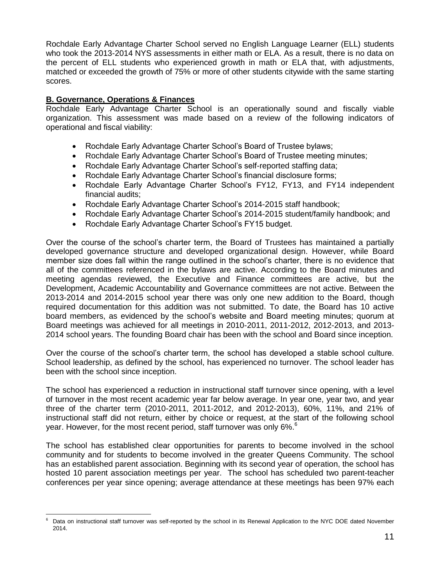Rochdale Early Advantage Charter School served no English Language Learner (ELL) students who took the 2013-2014 NYS assessments in either math or ELA. As a result, there is no data on the percent of ELL students who experienced growth in math or ELA that, with adjustments, matched or exceeded the growth of 75% or more of other students citywide with the same starting scores.

#### **B. Governance, Operations & Finances**

Rochdale Early Advantage Charter School is an operationally sound and fiscally viable organization. This assessment was made based on a review of the following indicators of operational and fiscal viability:

- Rochdale Early Advantage Charter School's Board of Trustee bylaws;
- Rochdale Early Advantage Charter School's Board of Trustee meeting minutes;
- Rochdale Early Advantage Charter School's self-reported staffing data;
- Rochdale Early Advantage Charter School's financial disclosure forms;
- Rochdale Early Advantage Charter School's FY12, FY13, and FY14 independent financial audits;
- Rochdale Early Advantage Charter School's 2014-2015 staff handbook;
- Rochdale Early Advantage Charter School's 2014-2015 student/family handbook; and
- Rochdale Early Advantage Charter School's FY15 budget.

Over the course of the school's charter term, the Board of Trustees has maintained a partially developed governance structure and developed organizational design. However, while Board member size does fall within the range outlined in the school's charter, there is no evidence that all of the committees referenced in the bylaws are active. According to the Board minutes and meeting agendas reviewed, the Executive and Finance committees are active, but the Development, Academic Accountability and Governance committees are not active. Between the 2013-2014 and 2014-2015 school year there was only one new addition to the Board, though required documentation for this addition was not submitted. To date, the Board has 10 active board members, as evidenced by the school's website and Board meeting minutes; quorum at Board meetings was achieved for all meetings in 2010-2011, 2011-2012, 2012-2013, and 2013- 2014 school years. The founding Board chair has been with the school and Board since inception.

Over the course of the school's charter term, the school has developed a stable school culture. School leadership, as defined by the school, has experienced no turnover. The school leader has been with the school since inception.

The school has experienced a reduction in instructional staff turnover since opening, with a level of turnover in the most recent academic year far below average. In year one, year two, and year three of the charter term (2010-2011, 2011-2012, and 2012-2013), 60%, 11%, and 21% of instructional staff did not return, either by choice or request, at the start of the following school year. However, for the most recent period, staff turnover was only 6%.<sup>6</sup>

The school has established clear opportunities for parents to become involved in the school community and for students to become involved in the greater Queens Community. The school has an established parent association. Beginning with its second year of operation, the school has hosted 10 parent association meetings per year. The school has scheduled two parent-teacher conferences per year since opening; average attendance at these meetings has been 97% each

 $\overline{a}$ Data on instructional staff turnover was self-reported by the school in its Renewal Application to the NYC DOE dated November 2014.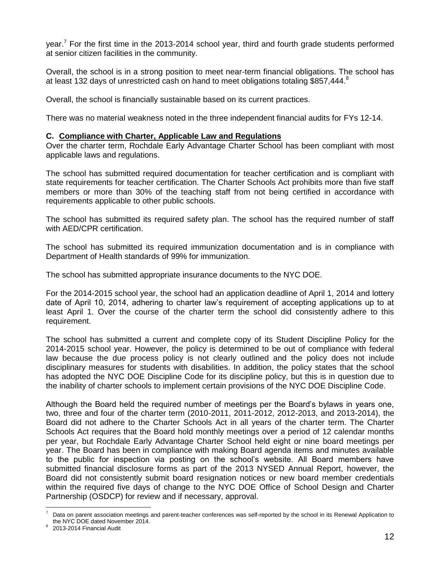year.<sup>7</sup> For the first time in the 2013-2014 school year, third and fourth grade students performed at senior citizen facilities in the community.

Overall, the school is in a strong position to meet near-term financial obligations. The school has at least 132 days of unrestricted cash on hand to meet obligations totaling \$857,444. $8$ 

Overall, the school is financially sustainable based on its current practices.

There was no material weakness noted in the three independent financial audits for FYs 12-14.

#### **C. Compliance with Charter, Applicable Law and Regulations**

Over the charter term, Rochdale Early Advantage Charter School has been compliant with most applicable laws and regulations.

The school has submitted required documentation for teacher certification and is compliant with state requirements for teacher certification. The Charter Schools Act prohibits more than five staff members or more than 30% of the teaching staff from not being certified in accordance with requirements applicable to other public schools.

The school has submitted its required safety plan. The school has the required number of staff with AED/CPR certification.

The school has submitted its required immunization documentation and is in compliance with Department of Health standards of 99% for immunization.

The school has submitted appropriate insurance documents to the NYC DOE.

For the 2014-2015 school year, the school had an application deadline of April 1, 2014 and lottery date of April 10, 2014, adhering to charter law's requirement of accepting applications up to at least April 1. Over the course of the charter term the school did consistently adhere to this requirement.

The school has submitted a current and complete copy of its Student Discipline Policy for the 2014-2015 school year. However, the policy is determined to be out of compliance with federal law because the due process policy is not clearly outlined and the policy does not include disciplinary measures for students with disabilities. In addition, the policy states that the school has adopted the NYC DOE Discipline Code for its discipline policy, but this is in question due to the inability of charter schools to implement certain provisions of the NYC DOE Discipline Code.

Although the Board held the required number of meetings per the Board's bylaws in years one, two, three and four of the charter term (2010-2011, 2011-2012, 2012-2013, and 2013-2014), the Board did not adhere to the Charter Schools Act in all years of the charter term. The Charter Schools Act requires that the Board hold monthly meetings over a period of 12 calendar months per year, but Rochdale Early Advantage Charter School held eight or nine board meetings per year. The Board has been in compliance with making Board agenda items and minutes available to the public for inspection via posting on the school's website. All Board members have submitted financial disclosure forms as part of the 2013 NYSED Annual Report, however, the Board did not consistently submit board resignation notices or new board member credentials within the required five days of change to the NYC DOE Office of School Design and Charter Partnership (OSDCP) for review and if necessary, approval.

 $\overline{a}$ Data on parent association meetings and parent-teacher conferences was self-reported by the school in its Renewal Application to the NYC DOE dated November 2014.

<sup>8</sup> 2013-2014 Financial Audit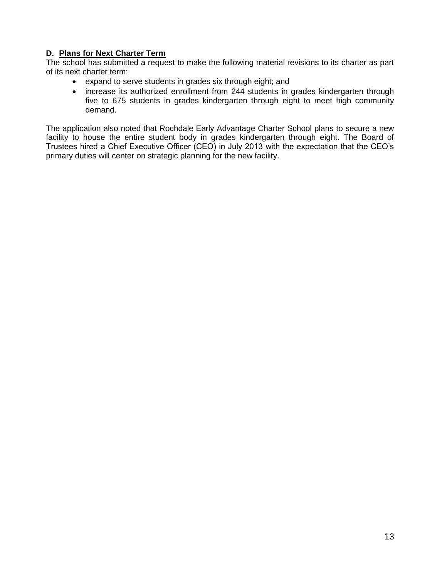## **D. Plans for Next Charter Term**

The school has submitted a request to make the following material revisions to its charter as part of its next charter term:

- expand to serve students in grades six through eight; and
- increase its authorized enrollment from 244 students in grades kindergarten through five to 675 students in grades kindergarten through eight to meet high community demand.

The application also noted that Rochdale Early Advantage Charter School plans to secure a new facility to house the entire student body in grades kindergarten through eight. The Board of Trustees hired a Chief Executive Officer (CEO) in July 2013 with the expectation that the CEO's primary duties will center on strategic planning for the new facility.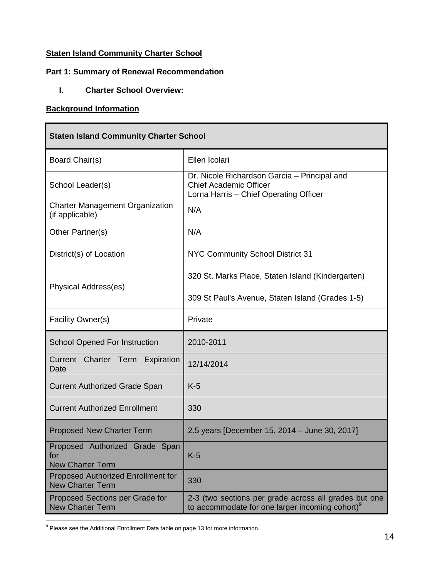## **Staten Island Community Charter School**

## **Part 1: Summary of Renewal Recommendation**

**I. Charter School Overview:**

#### **Background Information**

ŕ

| <b>Staten Island Community Charter School</b>                        |                                                                                                                         |
|----------------------------------------------------------------------|-------------------------------------------------------------------------------------------------------------------------|
| Board Chair(s)                                                       | Ellen Icolari                                                                                                           |
| School Leader(s)                                                     | Dr. Nicole Richardson Garcia - Principal and<br><b>Chief Academic Officer</b><br>Lorna Harris - Chief Operating Officer |
| <b>Charter Management Organization</b><br>(if applicable)            | N/A                                                                                                                     |
| Other Partner(s)                                                     | N/A                                                                                                                     |
| District(s) of Location                                              | NYC Community School District 31                                                                                        |
| Physical Address(es)                                                 | 320 St. Marks Place, Staten Island (Kindergarten)                                                                       |
|                                                                      | 309 St Paul's Avenue, Staten Island (Grades 1-5)                                                                        |
| Facility Owner(s)                                                    | Private                                                                                                                 |
| <b>School Opened For Instruction</b>                                 | 2010-2011                                                                                                               |
| Current<br>Charter Term<br>Expiration<br>Date                        | 12/14/2014                                                                                                              |
| <b>Current Authorized Grade Span</b>                                 | $K-5$                                                                                                                   |
| <b>Current Authorized Enrollment</b>                                 | 330                                                                                                                     |
| <b>Proposed New Charter Term</b>                                     | 2.5 years [December 15, 2014 - June 30, 2017]                                                                           |
| Proposed Authorized Grade<br>Span<br>tor<br><b>New Charter Term</b>  | $K-5$                                                                                                                   |
| <b>Proposed Authorized Enrollment for</b><br><b>New Charter Term</b> | 330                                                                                                                     |
| Proposed Sections per Grade for<br><b>New Charter Term</b>           | 2-3 (two sections per grade across all grades but one<br>to accommodate for one larger incoming cohort) <sup>9</sup>    |

 $\overline{a}$  $9$  Please see the Additional Enrollment Data table on page 13 for more information.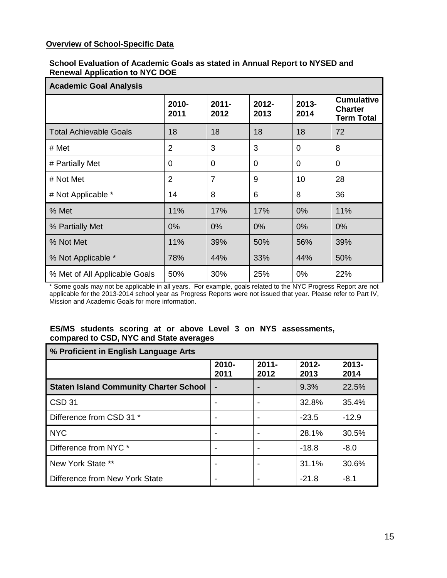### **Overview of School-Specific Data**

#### **School Evaluation of Academic Goals as stated in Annual Report to NYSED and Renewal Application to NYC DOE**

| <b>Academic Goal Analysis</b> |                |                  |                  |                  |                                                          |
|-------------------------------|----------------|------------------|------------------|------------------|----------------------------------------------------------|
|                               | 2010-<br>2011  | $2011 -$<br>2012 | $2012 -$<br>2013 | $2013 -$<br>2014 | <b>Cumulative</b><br><b>Charter</b><br><b>Term Total</b> |
| <b>Total Achievable Goals</b> | 18             | 18               | 18               | 18               | 72                                                       |
| # Met                         | $\overline{2}$ | 3                | 3                | $\overline{0}$   | 8                                                        |
| # Partially Met               | $\Omega$       | 0                | $\Omega$         | 0                | $\Omega$                                                 |
| # Not Met                     | $\overline{2}$ | $\overline{7}$   | 9                | 10               | 28                                                       |
| # Not Applicable *            | 14             | 8                | 6                | 8                | 36                                                       |
| % Met                         | 11%            | 17%              | 17%              | 0%               | 11%                                                      |
| % Partially Met               | 0%             | 0%               | 0%               | 0%               | 0%                                                       |
| % Not Met                     | 11%            | 39%              | 50%              | 56%              | 39%                                                      |
| % Not Applicable *            | 78%            | 44%              | 33%              | 44%              | 50%                                                      |
| % Met of All Applicable Goals | 50%            | 30%              | 25%              | 0%               | 22%                                                      |

\* Some goals may not be applicable in all years. For example, goals related to the NYC Progress Report are not applicable for the 2013-2014 school year as Progress Reports were not issued that year. Please refer to Part IV, Mission and Academic Goals for more information.

## **ES/MS students scoring at or above Level 3 on NYS assessments, compared to CSD, NYC and State averages**

| % Proficient in English Language Arts         |               |                  |                  |                  |
|-----------------------------------------------|---------------|------------------|------------------|------------------|
|                                               | 2010-<br>2011 | $2011 -$<br>2012 | $2012 -$<br>2013 | $2013 -$<br>2014 |
| <b>Staten Island Community Charter School</b> |               |                  | 9.3%             | 22.5%            |
| CSD <sub>31</sub>                             |               |                  | 32.8%            | 35.4%            |
| Difference from CSD 31 *                      |               |                  | $-23.5$          | $-12.9$          |
| <b>NYC</b>                                    |               |                  | 28.1%            | 30.5%            |
| Difference from NYC *                         |               |                  | $-18.8$          | $-8.0$           |
| New York State **                             |               |                  | 31.1%            | 30.6%            |
| Difference from New York State                |               |                  | $-21.8$          | $-8.1$           |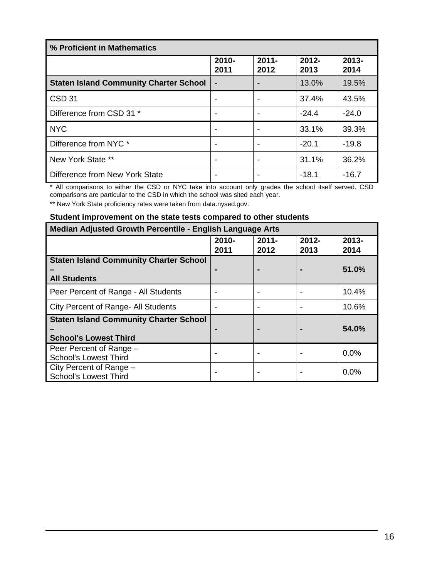| % Proficient in Mathematics                   |               |                  |                  |                  |
|-----------------------------------------------|---------------|------------------|------------------|------------------|
|                                               | 2010-<br>2011 | $2011 -$<br>2012 | $2012 -$<br>2013 | $2013 -$<br>2014 |
| <b>Staten Island Community Charter School</b> |               |                  | 13.0%            | 19.5%            |
| CSD <sub>31</sub>                             |               |                  | 37.4%            | 43.5%            |
| Difference from CSD 31 *                      |               |                  | $-24.4$          | $-24.0$          |
| <b>NYC</b>                                    |               |                  | 33.1%            | 39.3%            |
| Difference from NYC *                         |               |                  | $-20.1$          | $-19.8$          |
| New York State **                             |               |                  | 31.1%            | 36.2%            |
| Difference from New York State                |               |                  | $-18.1$          | $-16.7$          |

\* All comparisons to either the CSD or NYC take into account only grades the school itself served. CSD comparisons are particular to the CSD in which the school was sited each year.

\*\* New York State proficiency rates were taken from data.nysed.gov.

### **Student improvement on the state tests compared to other students**

| Median Adjusted Growth Percentile - English Language Arts |               |                  |                  |                  |
|-----------------------------------------------------------|---------------|------------------|------------------|------------------|
|                                                           | 2010-<br>2011 | $2011 -$<br>2012 | $2012 -$<br>2013 | $2013 -$<br>2014 |
| <b>Staten Island Community Charter School</b>             |               |                  |                  |                  |
| <b>All Students</b>                                       |               |                  |                  | 51.0%            |
| Peer Percent of Range - All Students                      |               |                  |                  | 10.4%            |
| City Percent of Range- All Students                       |               |                  |                  | 10.6%            |
| <b>Staten Island Community Charter School</b>             |               |                  |                  |                  |
| <b>School's Lowest Third</b>                              |               |                  |                  | 54.0%            |
| Peer Percent of Range -<br><b>School's Lowest Third</b>   |               |                  |                  | $0.0\%$          |
| City Percent of Range -<br><b>School's Lowest Third</b>   | -             |                  |                  | $0.0\%$          |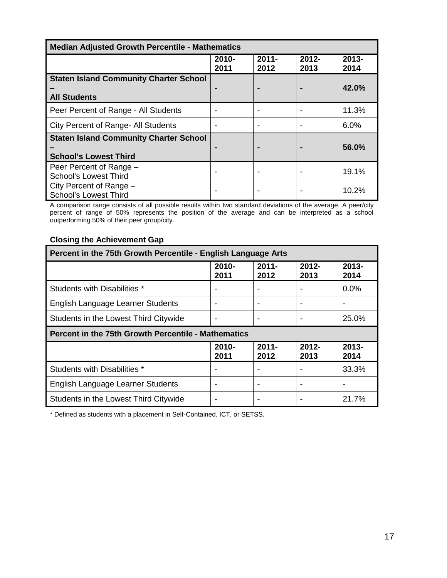| <b>Median Adjusted Growth Percentile - Mathematics</b>                        |               |                  |                  |               |  |
|-------------------------------------------------------------------------------|---------------|------------------|------------------|---------------|--|
|                                                                               | 2010-<br>2011 | $2011 -$<br>2012 | $2012 -$<br>2013 | 2013-<br>2014 |  |
| <b>Staten Island Community Charter School</b>                                 |               |                  |                  |               |  |
| <b>All Students</b>                                                           |               |                  |                  | 42.0%         |  |
| Peer Percent of Range - All Students                                          |               |                  |                  | 11.3%         |  |
| City Percent of Range- All Students                                           |               |                  |                  | 6.0%          |  |
| <b>Staten Island Community Charter School</b><br><b>School's Lowest Third</b> |               |                  |                  | 56.0%         |  |
| Peer Percent of Range -<br><b>School's Lowest Third</b>                       |               |                  |                  | 19.1%         |  |
| City Percent of Range -<br><b>School's Lowest Third</b>                       |               |                  |                  | 10.2%         |  |

A comparison range consists of all possible results within two standard deviations of the average. A peer/city percent of range of 50% represents the position of the average and can be interpreted as a school outperforming 50% of their peer group/city.

## **Closing the Achievement Gap**

| Percent in the 75th Growth Percentile - English Language Arts             |               |                  |                          |                  |  |  |
|---------------------------------------------------------------------------|---------------|------------------|--------------------------|------------------|--|--|
|                                                                           | 2010-<br>2011 | $2011 -$<br>2012 | $2012 -$<br>2013         | $2013 -$<br>2014 |  |  |
| Students with Disabilities *                                              |               |                  |                          | $0.0\%$          |  |  |
| English Language Learner Students                                         | -             |                  |                          |                  |  |  |
| Students in the Lowest Third Citywide                                     | -             |                  | $\overline{\phantom{0}}$ | 25.0%            |  |  |
| <b>Percent in the 75th Growth Percentile - Mathematics</b>                |               |                  |                          |                  |  |  |
| $2011 -$<br>$2012 -$<br>$2013 -$<br>2010-<br>2011<br>2012<br>2013<br>2014 |               |                  |                          |                  |  |  |
| Students with Disabilities *                                              |               |                  |                          | 33.3%            |  |  |
|                                                                           |               |                  |                          |                  |  |  |
| English Language Learner Students                                         | -             |                  |                          |                  |  |  |

\* Defined as students with a placement in Self-Contained, ICT, or SETSS.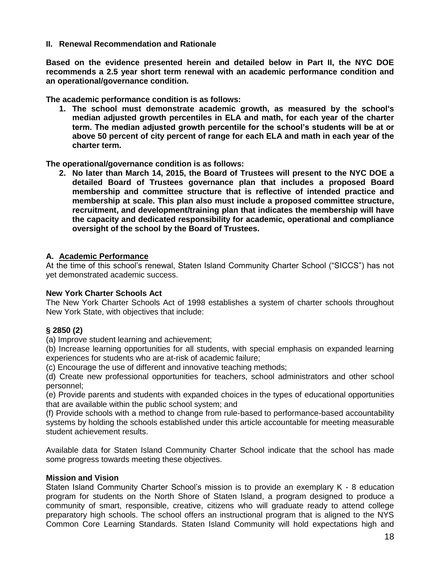#### **II. Renewal Recommendation and Rationale**

**Based on the evidence presented herein and detailed below in Part II, the NYC DOE recommends a 2.5 year short term renewal with an academic performance condition and an operational/governance condition.** 

**The academic performance condition is as follows:**

**1. The school must demonstrate academic growth, as measured by the school's median adjusted growth percentiles in ELA and math, for each year of the charter term. The median adjusted growth percentile for the school's students will be at or above 50 percent of city percent of range for each ELA and math in each year of the charter term.**

**The operational/governance condition is as follows:**

**2. No later than March 14, 2015, the Board of Trustees will present to the NYC DOE a detailed Board of Trustees governance plan that includes a proposed Board membership and committee structure that is reflective of intended practice and membership at scale. This plan also must include a proposed committee structure, recruitment, and development/training plan that indicates the membership will have the capacity and dedicated responsibility for academic, operational and compliance oversight of the school by the Board of Trustees.**

#### **A. Academic Performance**

At the time of this school's renewal, Staten Island Community Charter School ("SICCS") has not yet demonstrated academic success.

#### **New York Charter Schools Act**

The New York Charter Schools Act of 1998 establishes a system of charter schools throughout New York State, with objectives that include:

#### **§ 2850 (2)**

(a) Improve student learning and achievement;

(b) Increase learning opportunities for all students, with special emphasis on expanded learning experiences for students who are at-risk of academic failure;

(c) Encourage the use of different and innovative teaching methods;

(d) Create new professional opportunities for teachers, school administrators and other school personnel;

(e) Provide parents and students with expanded choices in the types of educational opportunities that are available within the public school system; and

(f) Provide schools with a method to change from rule-based to performance-based accountability systems by holding the schools established under this article accountable for meeting measurable student achievement results.

Available data for Staten Island Community Charter School indicate that the school has made some progress towards meeting these objectives.

#### **Mission and Vision**

Staten Island Community Charter School's mission is to provide an exemplary K - 8 education program for students on the North Shore of Staten Island, a program designed to produce a community of smart, responsible, creative, citizens who will graduate ready to attend college preparatory high schools. The school offers an instructional program that is aligned to the NYS Common Core Learning Standards. Staten Island Community will hold expectations high and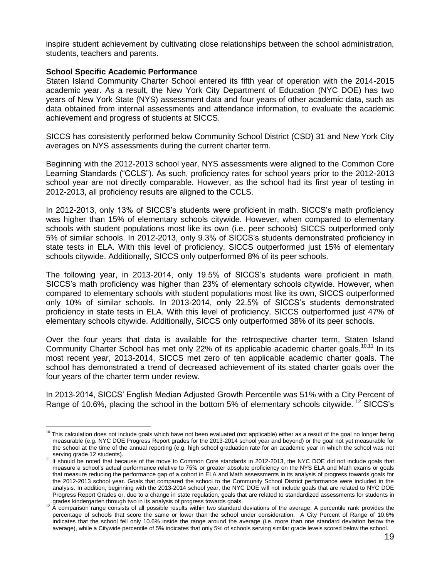inspire student achievement by cultivating close relationships between the school administration, students, teachers and parents.

#### **School Specific Academic Performance**

Staten Island Community Charter School entered its fifth year of operation with the 2014-2015 academic year. As a result, the New York City Department of Education (NYC DOE) has two years of New York State (NYS) assessment data and four years of other academic data, such as data obtained from internal assessments and attendance information, to evaluate the academic achievement and progress of students at SICCS.

SICCS has consistently performed below Community School District (CSD) 31 and New York City averages on NYS assessments during the current charter term.

Beginning with the 2012-2013 school year, NYS assessments were aligned to the Common Core Learning Standards ("CCLS"). As such, proficiency rates for school years prior to the 2012-2013 school year are not directly comparable. However, as the school had its first year of testing in 2012-2013, all proficiency results are aligned to the CCLS.

In 2012-2013, only 13% of SICCS's students were proficient in math. SICCS's math proficiency was higher than 15% of elementary schools citywide. However, when compared to elementary schools with student populations most like its own (i.e. peer schools) SICCS outperformed only 5% of similar schools. In 2012-2013, only 9.3% of SICCS's students demonstrated proficiency in state tests in ELA. With this level of proficiency, SICCS outperformed just 15% of elementary schools citywide. Additionally, SICCS only outperformed 8% of its peer schools.

The following year, in 2013-2014, only 19.5% of SICCS's students were proficient in math. SICCS's math proficiency was higher than 23% of elementary schools citywide. However, when compared to elementary schools with student populations most like its own, SICCS outperformed only 10% of similar schools. In 2013-2014, only 22.5% of SICCS's students demonstrated proficiency in state tests in ELA. With this level of proficiency, SICCS outperformed just 47% of elementary schools citywide. Additionally, SICCS only outperformed 38% of its peer schools.

Over the four years that data is available for the retrospective charter term, Staten Island Community Charter School has met only 22% of its applicable academic charter goals.<sup>10,11</sup> In its most recent year, 2013-2014, SICCS met zero of ten applicable academic charter goals. The school has demonstrated a trend of decreased achievement of its stated charter goals over the four years of the charter term under review.

In 2013-2014, SICCS' English Median Adjusted Growth Percentile was 51% with a City Percent of Range of 10.6%, placing the school in the bottom 5% of elementary schools citywide. <sup>12</sup> SICCS's

 $\overline{a}$  $10$  This calculation does not include goals which have not been evaluated (not applicable) either as a result of the goal no longer being measurable (e.g. NYC DOE Progress Report grades for the 2013-2014 school year and beyond) or the goal not yet measurable for the school at the time of the annual reporting (e.g. high school graduation rate for an academic year in which the school was not serving grade 12 students).

<sup>11</sup> It should be noted that because of the move to Common Core standards in 2012-2013, the NYC DOE did not include goals that measure a school's actual performance relative to 75% or greater absolute proficiency on the NYS ELA and Math exams or goals that measure reducing the performance gap of a cohort in ELA and Math assessments in its analysis of progress towards goals for the 2012-2013 school year. Goals that compared the school to the Community School District performance were included in the analysis. In addition, beginning with the 2013-2014 school year, the NYC DOE will not include goals that are related to NYC DOE Progress Report Grades or, due to a change in state regulation, goals that are related to standardized assessments for students in

grades kindergarten through two in its analysis of progress towards goals.<br><sup>12</sup> A comparison range consists of all possible results within two standard deviations of the average. A percentile rank provides the percentage of schools that score the same or lower than the school under consideration. A City Percent of Range of 10.6% indicates that the school fell only 10.6% inside the range around the average (i.e. more than one standard deviation below the average), while a Citywide percentile of 5% indicates that only 5% of schools serving similar grade levels scored below the school.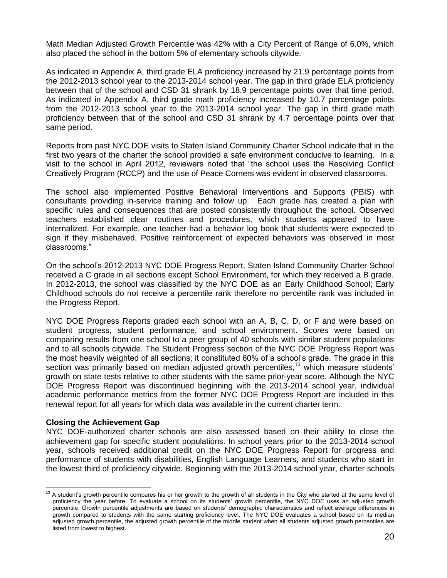Math Median Adjusted Growth Percentile was 42% with a City Percent of Range of 6.0%, which also placed the school in the bottom 5% of elementary schools citywide.

As indicated in Appendix A, third grade ELA proficiency increased by 21.9 percentage points from the 2012-2013 school year to the 2013-2014 school year. The gap in third grade ELA proficiency between that of the school and CSD 31 shrank by 18.9 percentage points over that time period. As indicated in Appendix A, third grade math proficiency increased by 10.7 percentage points from the 2012-2013 school year to the 2013-2014 school year. The gap in third grade math proficiency between that of the school and CSD 31 shrank by 4.7 percentage points over that same period.

Reports from past NYC DOE visits to Staten Island Community Charter School indicate that in the first two years of the charter the school provided a safe environment conducive to learning. In a visit to the school in April 2012, reviewers noted that "the school uses the Resolving Conflict Creatively Program (RCCP) and the use of Peace Corners was evident in observed classrooms.

The school also implemented Positive Behavioral Interventions and Supports (PBIS) with consultants providing in-service training and follow up. Each grade has created a plan with specific rules and consequences that are posted consistently throughout the school. Observed teachers established clear routines and procedures, which students appeared to have internalized. For example, one teacher had a behavior log book that students were expected to sign if they misbehaved. Positive reinforcement of expected behaviors was observed in most classrooms."

On the school's 2012-2013 NYC DOE Progress Report, Staten Island Community Charter School received a C grade in all sections except School Environment, for which they received a B grade. In 2012-2013, the school was classified by the NYC DOE as an Early Childhood School; Early Childhood schools do not receive a percentile rank therefore no percentile rank was included in the Progress Report.

NYC DOE Progress Reports graded each school with an A, B, C, D, or F and were based on student progress, student performance, and school environment. Scores were based on comparing results from one school to a peer group of 40 schools with similar student populations and to all schools citywide. The Student Progress section of the NYC DOE Progress Report was the most heavily weighted of all sections; it constituted 60% of a school's grade. The grade in this section was primarily based on median adjusted growth percentiles,<sup>13</sup> which measure students' growth on state tests relative to other students with the same prior-year score. Although the NYC DOE Progress Report was discontinued beginning with the 2013-2014 school year, individual academic performance metrics from the former NYC DOE Progress Report are included in this renewal report for all years for which data was available in the current charter term.

#### **Closing the Achievement Gap**

 $\overline{a}$ 

NYC DOE-authorized charter schools are also assessed based on their ability to close the achievement gap for specific student populations. In school years prior to the 2013-2014 school year, schools received additional credit on the NYC DOE Progress Report for progress and performance of students with disabilities, English Language Learners, and students who start in the lowest third of proficiency citywide. Beginning with the 2013-2014 school year, charter schools

 $13$  A student's growth percentile compares his or her growth to the growth of all students in the City who started at the same level of proficiency the year before. To evaluate a school on its students' growth percentile, the NYC DOE uses an adjusted growth percentile. Growth percentile adjustments are based on students' demographic characteristics and reflect average differences in growth compared to students with the same starting proficiency level. The NYC DOE evaluates a school based on its median adjusted growth percentile, the adjusted growth percentile of the middle student when all students adjusted growth percentiles are listed from lowest to highest.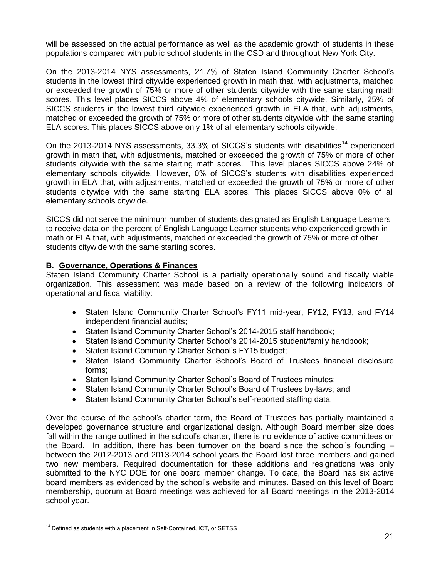will be assessed on the actual performance as well as the academic growth of students in these populations compared with public school students in the CSD and throughout New York City.

On the 2013-2014 NYS assessments, 21.7% of Staten Island Community Charter School's students in the lowest third citywide experienced growth in math that, with adjustments, matched or exceeded the growth of 75% or more of other students citywide with the same starting math scores. This level places SICCS above 4% of elementary schools citywide. Similarly, 25% of SICCS students in the lowest third citywide experienced growth in ELA that, with adjustments, matched or exceeded the growth of 75% or more of other students citywide with the same starting ELA scores. This places SICCS above only 1% of all elementary schools citywide.

On the 2013-2014 NYS assessments, 33.3% of SICCS's students with disabilities<sup>14</sup> experienced growth in math that, with adjustments, matched or exceeded the growth of 75% or more of other students citywide with the same starting math scores. This level places SICCS above 24% of elementary schools citywide. However, 0% of SICCS's students with disabilities experienced growth in ELA that, with adjustments, matched or exceeded the growth of 75% or more of other students citywide with the same starting ELA scores. This places SICCS above 0% of all elementary schools citywide.

SICCS did not serve the minimum number of students designated as English Language Learners to receive data on the percent of English Language Learner students who experienced growth in math or ELA that, with adjustments, matched or exceeded the growth of 75% or more of other students citywide with the same starting scores.

#### **B. Governance, Operations & Finances**

Staten Island Community Charter School is a partially operationally sound and fiscally viable organization. This assessment was made based on a review of the following indicators of operational and fiscal viability:

- Staten Island Community Charter School's FY11 mid-year, FY12, FY13, and FY14 independent financial audits;
- Staten Island Community Charter School's 2014-2015 staff handbook;
- Staten Island Community Charter School's 2014-2015 student/family handbook;
- Staten Island Community Charter School's FY15 budget;
- Staten Island Community Charter School's Board of Trustees financial disclosure forms;
- Staten Island Community Charter School's Board of Trustees minutes;
- Staten Island Community Charter School's Board of Trustees by-laws; and
- Staten Island Community Charter School's self-reported staffing data.

Over the course of the school's charter term, the Board of Trustees has partially maintained a developed governance structure and organizational design. Although Board member size does fall within the range outlined in the school's charter, there is no evidence of active committees on the Board. In addition, there has been turnover on the board since the school's founding – between the 2012-2013 and 2013-2014 school years the Board lost three members and gained two new members. Required documentation for these additions and resignations was only submitted to the NYC DOE for one board member change. To date, the Board has six active board members as evidenced by the school's website and minutes. Based on this level of Board membership, quorum at Board meetings was achieved for all Board meetings in the 2013-2014 school year.

 $\overline{a}$ 

 $14$  Defined as students with a placement in Self-Contained, ICT, or SETSS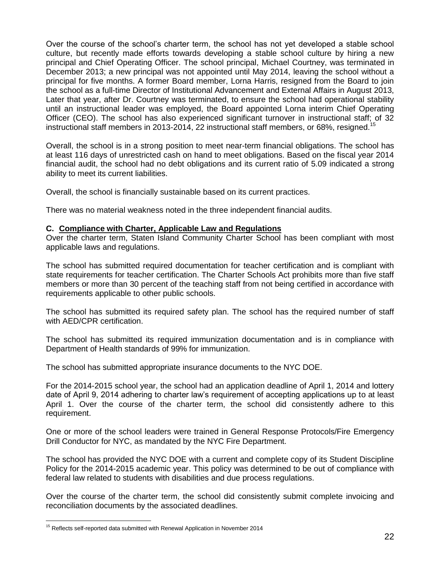Over the course of the school's charter term, the school has not yet developed a stable school culture, but recently made efforts towards developing a stable school culture by hiring a new principal and Chief Operating Officer. The school principal, Michael Courtney, was terminated in December 2013; a new principal was not appointed until May 2014, leaving the school without a principal for five months. A former Board member, Lorna Harris, resigned from the Board to join the school as a full-time Director of Institutional Advancement and External Affairs in August 2013, Later that year, after Dr. Courtney was terminated, to ensure the school had operational stability until an instructional leader was employed, the Board appointed Lorna interim Chief Operating Officer (CEO). The school has also experienced significant turnover in instructional staff; of 32 instructional staff members in 2013-2014, 22 instructional staff members, or 68%, resigned.<sup>15</sup>

Overall, the school is in a strong position to meet near-term financial obligations. The school has at least 116 days of unrestricted cash on hand to meet obligations. Based on the fiscal year 2014 financial audit, the school had no debt obligations and its current ratio of 5.09 indicated a strong ability to meet its current liabilities.

Overall, the school is financially sustainable based on its current practices.

There was no material weakness noted in the three independent financial audits.

#### **C. Compliance with Charter, Applicable Law and Regulations**

Over the charter term, Staten Island Community Charter School has been compliant with most applicable laws and regulations.

The school has submitted required documentation for teacher certification and is compliant with state requirements for teacher certification. The Charter Schools Act prohibits more than five staff members or more than 30 percent of the teaching staff from not being certified in accordance with requirements applicable to other public schools.

The school has submitted its required safety plan. The school has the required number of staff with AED/CPR certification.

The school has submitted its required immunization documentation and is in compliance with Department of Health standards of 99% for immunization.

The school has submitted appropriate insurance documents to the NYC DOE.

For the 2014-2015 school year, the school had an application deadline of April 1, 2014 and lottery date of April 9, 2014 adhering to charter law's requirement of accepting applications up to at least April 1. Over the course of the charter term, the school did consistently adhere to this requirement.

One or more of the school leaders were trained in General Response Protocols/Fire Emergency Drill Conductor for NYC, as mandated by the NYC Fire Department.

The school has provided the NYC DOE with a current and complete copy of its Student Discipline Policy for the 2014-2015 academic year. This policy was determined to be out of compliance with federal law related to students with disabilities and due process regulations.

Over the course of the charter term, the school did consistently submit complete invoicing and reconciliation documents by the associated deadlines.

 $\overline{a}$ <sup>15</sup> Reflects self-reported data submitted with Renewal Application in November 2014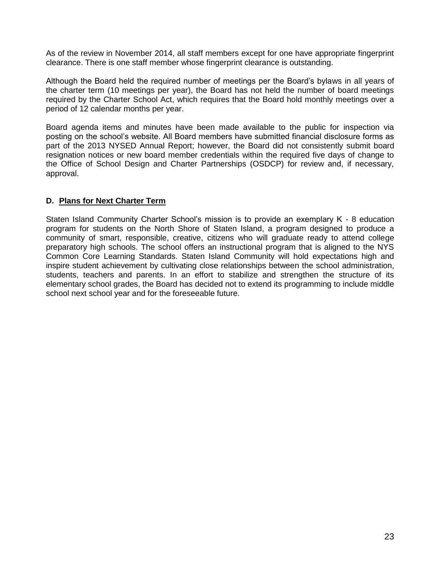As of the review in November 2014, all staff members except for one have appropriate fingerprint clearance. There is one staff member whose fingerprint clearance is outstanding.

Although the Board held the required number of meetings per the Board's bylaws in all years of the charter term (10 meetings per year), the Board has not held the number of board meetings required by the Charter School Act, which requires that the Board hold monthly meetings over a period of 12 calendar months per year.

Board agenda items and minutes have been made available to the public for inspection via posting on the school's website. All Board members have submitted financial disclosure forms as part of the 2013 NYSED Annual Report; however, the Board did not consistently submit board resignation notices or new board member credentials within the required five days of change to the Office of School Design and Charter Partnerships (OSDCP) for review and, if necessary, approval.

## **D. Plans for Next Charter Term**

Staten Island Community Charter School's mission is to provide an exemplary K - 8 education program for students on the North Shore of Staten Island, a program designed to produce a community of smart, responsible, creative, citizens who will graduate ready to attend college preparatory high schools. The school offers an instructional program that is aligned to the NYS Common Core Learning Standards. Staten Island Community will hold expectations high and inspire student achievement by cultivating close relationships between the school administration, students, teachers and parents. In an effort to stabilize and strengthen the structure of its elementary school grades, the Board has decided not to extend its programming to include middle school next school year and for the foreseeable future.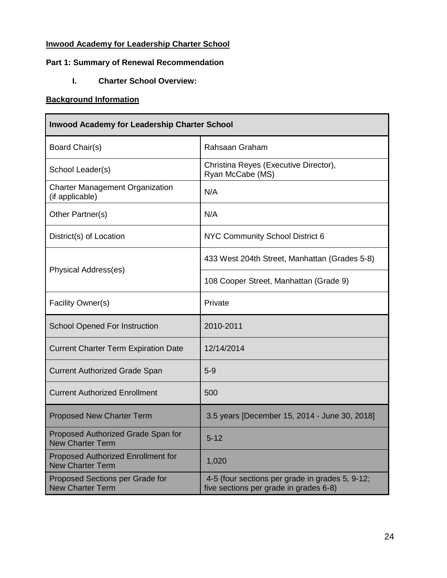## **Inwood Academy for Leadership Charter School**

## **Part 1: Summary of Renewal Recommendation**

**I. Charter School Overview:**

## **Background Information**

| <b>Inwood Academy for Leadership Charter School</b>           |                                                                                           |  |  |  |  |
|---------------------------------------------------------------|-------------------------------------------------------------------------------------------|--|--|--|--|
| Board Chair(s)                                                | Rahsaan Graham                                                                            |  |  |  |  |
| School Leader(s)                                              | Christina Reyes (Executive Director),<br>Ryan McCabe (MS)                                 |  |  |  |  |
| <b>Charter Management Organization</b><br>(if applicable)     | N/A                                                                                       |  |  |  |  |
| Other Partner(s)                                              | N/A                                                                                       |  |  |  |  |
| District(s) of Location                                       | NYC Community School District 6                                                           |  |  |  |  |
| <b>Physical Address(es)</b>                                   | 433 West 204th Street, Manhattan (Grades 5-8)                                             |  |  |  |  |
|                                                               | 108 Cooper Street, Manhattan (Grade 9)                                                    |  |  |  |  |
| Facility Owner(s)                                             | Private                                                                                   |  |  |  |  |
| <b>School Opened For Instruction</b>                          | 2010-2011                                                                                 |  |  |  |  |
| <b>Current Charter Term Expiration Date</b>                   | 12/14/2014                                                                                |  |  |  |  |
| <b>Current Authorized Grade Span</b>                          | $5-9$                                                                                     |  |  |  |  |
| <b>Current Authorized Enrollment</b>                          | 500                                                                                       |  |  |  |  |
| <b>Proposed New Charter Term</b>                              | 3.5 years [December 15, 2014 - June 30, 2018]                                             |  |  |  |  |
| Proposed Authorized Grade Span for<br><b>New Charter Term</b> | $5 - 12$                                                                                  |  |  |  |  |
| Proposed Authorized Enrollment for<br><b>New Charter Term</b> | 1,020                                                                                     |  |  |  |  |
| Proposed Sections per Grade for<br><b>New Charter Term</b>    | 4-5 (four sections per grade in grades 5, 9-12;<br>five sections per grade in grades 6-8) |  |  |  |  |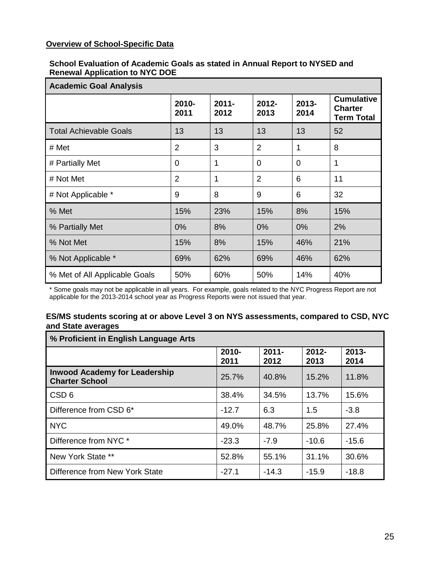## **Overview of School-Specific Data**

#### **School Evaluation of Academic Goals as stated in Annual Report to NYSED and Renewal Application to NYC DOE**

| <b>Academic Goal Analysis</b> |                |                  |                  |                  |                                                          |  |
|-------------------------------|----------------|------------------|------------------|------------------|----------------------------------------------------------|--|
|                               | 2010-<br>2011  | $2011 -$<br>2012 | $2012 -$<br>2013 | $2013 -$<br>2014 | <b>Cumulative</b><br><b>Charter</b><br><b>Term Total</b> |  |
| <b>Total Achievable Goals</b> | 13             | 13               | 13               | 13               | 52                                                       |  |
| # Met                         | $\overline{2}$ | 3                | $\overline{2}$   | 1                | 8                                                        |  |
| # Partially Met               | 0              | 1                | 0                | 0                | 1                                                        |  |
| # Not Met                     | $\overline{2}$ | 1                | $\overline{2}$   | 6                | 11                                                       |  |
| # Not Applicable *            | 9              | 8                | 9                | 6                | 32                                                       |  |
| % Met                         | 15%            | 23%              | 15%              | 8%               | 15%                                                      |  |
| % Partially Met               | 0%             | 8%               | 0%               | $0\%$            | 2%                                                       |  |
| % Not Met                     | 15%            | 8%               | 15%              | 46%              | 21%                                                      |  |
| % Not Applicable *            | 69%            | 62%              | 69%              | 46%              | 62%                                                      |  |
| % Met of All Applicable Goals | 50%            | 60%              | 50%              | 14%              | 40%                                                      |  |

\* Some goals may not be applicable in all years. For example, goals related to the NYC Progress Report are not applicable for the 2013-2014 school year as Progress Reports were not issued that year.

#### **ES/MS students scoring at or above Level 3 on NYS assessments, compared to CSD, NYC and State averages**

| % Proficient in English Language Arts                         |                  |                  |                  |                  |  |
|---------------------------------------------------------------|------------------|------------------|------------------|------------------|--|
|                                                               | $2010 -$<br>2011 | $2011 -$<br>2012 | $2012 -$<br>2013 | $2013 -$<br>2014 |  |
| <b>Inwood Academy for Leadership</b><br><b>Charter School</b> | 25.7%            | 40.8%            | 15.2%            | 11.8%            |  |
| CSD <sub>6</sub>                                              | 38.4%            | 34.5%            | 13.7%            | 15.6%            |  |
| Difference from CSD 6*                                        | $-12.7$          | 6.3              | 1.5              | $-3.8$           |  |
| <b>NYC</b>                                                    | 49.0%            | 48.7%            | 25.8%            | 27.4%            |  |
| Difference from NYC *                                         | $-23.3$          | $-7.9$           | $-10.6$          | $-15.6$          |  |
| New York State **                                             | 52.8%            | 55.1%            | 31.1%            | 30.6%            |  |
| Difference from New York State                                | $-27.1$          | $-14.3$          | $-15.9$          | $-18.8$          |  |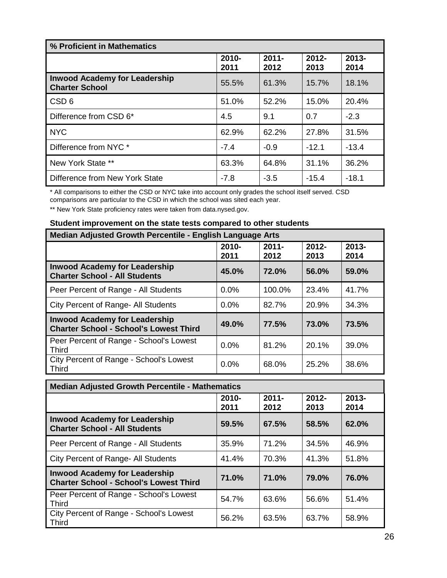| % Proficient in Mathematics                                   |                  |                  |                  |                  |  |
|---------------------------------------------------------------|------------------|------------------|------------------|------------------|--|
|                                                               | $2010 -$<br>2011 | $2011 -$<br>2012 | $2012 -$<br>2013 | $2013 -$<br>2014 |  |
| <b>Inwood Academy for Leadership</b><br><b>Charter School</b> | 55.5%            | 61.3%            | 15.7%            | 18.1%            |  |
| CSD <sub>6</sub>                                              | 51.0%            | 52.2%            | 15.0%            | 20.4%            |  |
| Difference from CSD 6*                                        | 4.5              | 9.1              | 0.7              | $-2.3$           |  |
| <b>NYC</b>                                                    | 62.9%            | 62.2%            | 27.8%            | 31.5%            |  |
| Difference from NYC *                                         | $-7.4$           | $-0.9$           | $-12.1$          | $-13.4$          |  |
| New York State **                                             | 63.3%            | 64.8%            | 31.1%            | 36.2%            |  |
| Difference from New York State                                | $-7.8$           | $-3.5$           | $-15.4$          | $-18.1$          |  |

\* All comparisons to either the CSD or NYC take into account only grades the school itself served. CSD comparisons are particular to the CSD in which the school was sited each year.

\*\* New York State proficiency rates were taken from data.nysed.gov.

## **Student improvement on the state tests compared to other students**

| Median Adjusted Growth Percentile - English Language Arts                             |                  |                  |                  |                  |  |  |
|---------------------------------------------------------------------------------------|------------------|------------------|------------------|------------------|--|--|
|                                                                                       | $2010 -$<br>2011 | $2011 -$<br>2012 | $2012 -$<br>2013 | $2013 -$<br>2014 |  |  |
| <b>Inwood Academy for Leadership</b><br><b>Charter School - All Students</b>          | 45.0%            | 72.0%            | 56.0%            | 59.0%            |  |  |
| Peer Percent of Range - All Students                                                  | 0.0%             | 100.0%           | 23.4%            | 41.7%            |  |  |
| City Percent of Range- All Students                                                   | $0.0\%$          | 82.7%            | 20.9%            | 34.3%            |  |  |
| <b>Inwood Academy for Leadership</b><br><b>Charter School - School's Lowest Third</b> | 49.0%            | 77.5%            | 73.0%            | 73.5%            |  |  |
| Peer Percent of Range - School's Lowest<br><b>Third</b>                               | $0.0\%$          | 81.2%            | 20.1%            | 39.0%            |  |  |
| City Percent of Range - School's Lowest<br>Third                                      | 0.0%             | 68.0%            | 25.2%            | 38.6%            |  |  |

| <b>Median Adjusted Growth Percentile - Mathematics</b>                                |                  |                  |                  |                  |  |  |
|---------------------------------------------------------------------------------------|------------------|------------------|------------------|------------------|--|--|
|                                                                                       | $2010 -$<br>2011 | $2011 -$<br>2012 | $2012 -$<br>2013 | $2013 -$<br>2014 |  |  |
| <b>Inwood Academy for Leadership</b><br><b>Charter School - All Students</b>          | 59.5%            | 67.5%            | 58.5%            | 62.0%            |  |  |
| Peer Percent of Range - All Students                                                  | 35.9%            | 71.2%            | 34.5%            | 46.9%            |  |  |
| City Percent of Range- All Students                                                   | 41.4%            | 70.3%            | 41.3%            | 51.8%            |  |  |
| <b>Inwood Academy for Leadership</b><br><b>Charter School - School's Lowest Third</b> | 71.0%            | 71.0%            | 79.0%            | 76.0%            |  |  |
| Peer Percent of Range - School's Lowest<br><b>Third</b>                               | 54.7%            | 63.6%            | 56.6%            | 51.4%            |  |  |
| City Percent of Range - School's Lowest<br><b>Third</b>                               | 56.2%            | 63.5%            | 63.7%            | 58.9%            |  |  |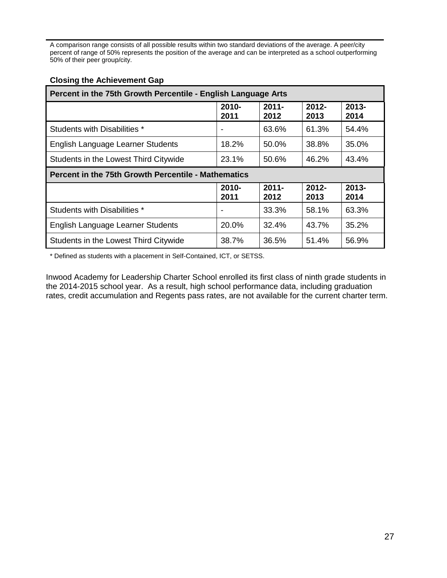A comparison range consists of all possible results within two standard deviations of the average. A peer/city percent of range of 50% represents the position of the average and can be interpreted as a school outperforming 50% of their peer group/city.

|  |  | <b>Closing the Achievement Gap</b> |
|--|--|------------------------------------|
|--|--|------------------------------------|

| Percent in the 75th Growth Percentile - English Language Arts |                  |                  |                  |                  |  |  |
|---------------------------------------------------------------|------------------|------------------|------------------|------------------|--|--|
|                                                               | $2010 -$<br>2011 | $2011 -$<br>2012 | $2012 -$<br>2013 | $2013 -$<br>2014 |  |  |
| Students with Disabilities *                                  |                  | 63.6%            | 61.3%            | 54.4%            |  |  |
| English Language Learner Students                             | 18.2%            | 50.0%            | 38.8%            | 35.0%            |  |  |
| Students in the Lowest Third Citywide                         | 23.1%            | 50.6%            | 46.2%            | 43.4%            |  |  |
| <b>Percent in the 75th Growth Percentile - Mathematics</b>    |                  |                  |                  |                  |  |  |
|                                                               |                  |                  |                  |                  |  |  |
|                                                               | $2010 -$<br>2011 | $2011 -$<br>2012 | $2012 -$<br>2013 | $2013 -$<br>2014 |  |  |
| Students with Disabilities *                                  |                  | 33.3%            | 58.1%            | 63.3%            |  |  |
| English Language Learner Students                             | 20.0%            | 32.4%            | 43.7%            | 35.2%            |  |  |

\* Defined as students with a placement in Self-Contained, ICT, or SETSS.

Inwood Academy for Leadership Charter School enrolled its first class of ninth grade students in the 2014-2015 school year. As a result, high school performance data, including graduation rates, credit accumulation and Regents pass rates, are not available for the current charter term.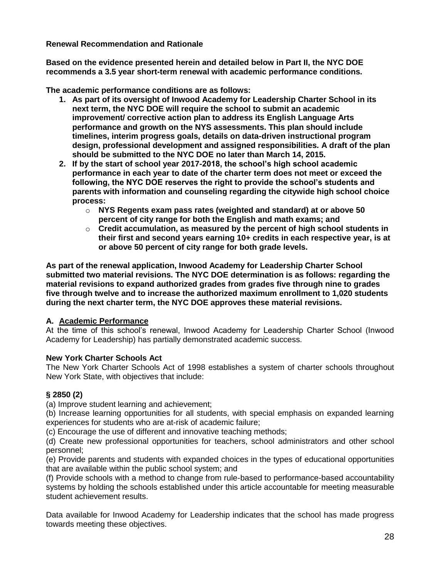**Renewal Recommendation and Rationale**

**Based on the evidence presented herein and detailed below in Part II, the NYC DOE recommends a 3.5 year short-term renewal with academic performance conditions.**

**The academic performance conditions are as follows:** 

- **1. As part of its oversight of Inwood Academy for Leadership Charter School in its next term, the NYC DOE will require the school to submit an academic improvement/ corrective action plan to address its English Language Arts performance and growth on the NYS assessments. This plan should include timelines, interim progress goals, details on data-driven instructional program design, professional development and assigned responsibilities. A draft of the plan should be submitted to the NYC DOE no later than March 14, 2015.**
- **2. If by the start of school year 2017-2018, the school's high school academic performance in each year to date of the charter term does not meet or exceed the following, the NYC DOE reserves the right to provide the school's students and parents with information and counseling regarding the citywide high school choice process:** 
	- o **NYS Regents exam pass rates (weighted and standard) at or above 50 percent of city range for both the English and math exams; and**
	- o **Credit accumulation, as measured by the percent of high school students in their first and second years earning 10+ credits in each respective year, is at or above 50 percent of city range for both grade levels.**

**As part of the renewal application, Inwood Academy for Leadership Charter School submitted two material revisions. The NYC DOE determination is as follows: regarding the material revisions to expand authorized grades from grades five through nine to grades five through twelve and to increase the authorized maximum enrollment to 1,020 students during the next charter term, the NYC DOE approves these material revisions.**

## **A. Academic Performance**

At the time of this school's renewal, Inwood Academy for Leadership Charter School (Inwood Academy for Leadership) has partially demonstrated academic success.

## **New York Charter Schools Act**

The New York Charter Schools Act of 1998 establishes a system of charter schools throughout New York State, with objectives that include:

## **§ 2850 (2)**

(a) Improve student learning and achievement;

(b) Increase learning opportunities for all students, with special emphasis on expanded learning experiences for students who are at-risk of academic failure;

(c) Encourage the use of different and innovative teaching methods;

(d) Create new professional opportunities for teachers, school administrators and other school personnel;

(e) Provide parents and students with expanded choices in the types of educational opportunities that are available within the public school system; and

(f) Provide schools with a method to change from rule-based to performance-based accountability systems by holding the schools established under this article accountable for meeting measurable student achievement results.

Data available for Inwood Academy for Leadership indicates that the school has made progress towards meeting these objectives.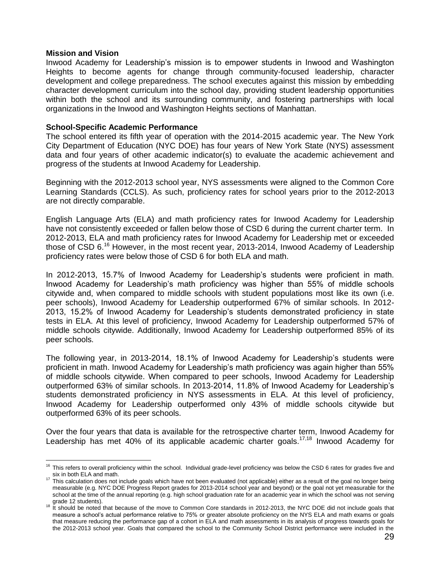#### **Mission and Vision**

 $\overline{a}$ 

Inwood Academy for Leadership's mission is to empower students in Inwood and Washington Heights to become agents for change through community-focused leadership, character development and college preparedness. The school executes against this mission by embedding character development curriculum into the school day, providing student leadership opportunities within both the school and its surrounding community, and fostering partnerships with local organizations in the Inwood and Washington Heights sections of Manhattan.

#### **School-Specific Academic Performance**

The school entered its fifth year of operation with the 2014-2015 academic year. The New York City Department of Education (NYC DOE) has four years of New York State (NYS) assessment data and four years of other academic indicator(s) to evaluate the academic achievement and progress of the students at Inwood Academy for Leadership.

Beginning with the 2012-2013 school year, NYS assessments were aligned to the Common Core Learning Standards (CCLS). As such, proficiency rates for school years prior to the 2012-2013 are not directly comparable.

English Language Arts (ELA) and math proficiency rates for Inwood Academy for Leadership have not consistently exceeded or fallen below those of CSD 6 during the current charter term. In 2012-2013, ELA and math proficiency rates for Inwood Academy for Leadership met or exceeded those of CSD  $6.^{16}$  However, in the most recent year, 2013-2014, Inwood Academy of Leadership proficiency rates were below those of CSD 6 for both ELA and math.

In 2012-2013, 15.7% of Inwood Academy for Leadership's students were proficient in math. Inwood Academy for Leadership's math proficiency was higher than 55% of middle schools citywide and, when compared to middle schools with student populations most like its own (i.e. peer schools), Inwood Academy for Leadership outperformed 67% of similar schools. In 2012- 2013, 15.2% of Inwood Academy for Leadership's students demonstrated proficiency in state tests in ELA. At this level of proficiency, Inwood Academy for Leadership outperformed 57% of middle schools citywide. Additionally, Inwood Academy for Leadership outperformed 85% of its peer schools.

The following year, in 2013-2014, 18.1% of Inwood Academy for Leadership's students were proficient in math. Inwood Academy for Leadership's math proficiency was again higher than 55% of middle schools citywide. When compared to peer schools, Inwood Academy for Leadership outperformed 63% of similar schools. In 2013-2014, 11.8% of Inwood Academy for Leadership's students demonstrated proficiency in NYS assessments in ELA. At this level of proficiency, Inwood Academy for Leadership outperformed only 43% of middle schools citywide but outperformed 63% of its peer schools.

Over the four years that data is available for the retrospective charter term, Inwood Academy for Leadership has met 40% of its applicable academic charter goals.<sup>17,18</sup> Inwood Academy for

 $16$  This refers to overall proficiency within the school. Individual grade-level proficiency was below the CSD 6 rates for grades five and six in both ELA and math.

<sup>17</sup> This calculation does not include goals which have not been evaluated (not applicable) either as a result of the goal no longer being measurable (e.g. NYC DOE Progress Report grades for 2013-2014 school year and beyond) or the goal not yet measurable for the school at the time of the annual reporting (e.g. high school graduation rate for an academic year in which the school was not serving

grade 12 students).<br><sup>18</sup> It should be noted that because of the move to Common Core standards in 2012-2013, the NYC DOE did not include goals that measure a school's actual performance relative to 75% or greater absolute proficiency on the NYS ELA and math exams or goals that measure reducing the performance gap of a cohort in ELA and math assessments in its analysis of progress towards goals for the 2012-2013 school year. Goals that compared the school to the Community School District performance were included in the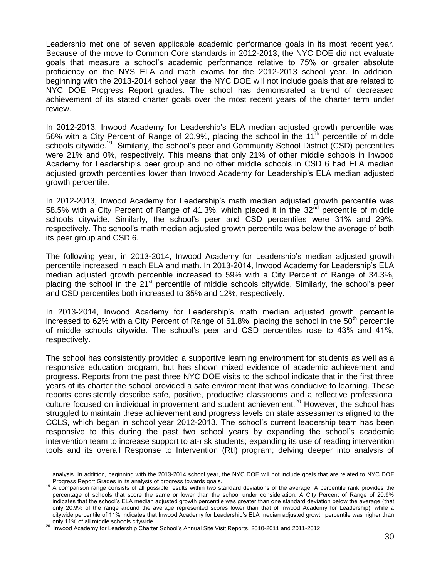Leadership met one of seven applicable academic performance goals in its most recent year. Because of the move to Common Core standards in 2012-2013, the NYC DOE did not evaluate goals that measure a school's academic performance relative to 75% or greater absolute proficiency on the NYS ELA and math exams for the 2012-2013 school year. In addition, beginning with the 2013-2014 school year, the NYC DOE will not include goals that are related to NYC DOE Progress Report grades. The school has demonstrated a trend of decreased achievement of its stated charter goals over the most recent years of the charter term under review.

In 2012-2013, Inwood Academy for Leadership's ELA median adjusted growth percentile was 56% with a City Percent of Range of 20.9%, placing the school in the 11<sup>th</sup> percentile of middle schools citywide.<sup>19</sup> Similarly, the school's peer and Community School District (CSD) percentiles were 21% and 0%, respectively. This means that only 21% of other middle schools in Inwood Academy for Leadership's peer group and no other middle schools in CSD 6 had ELA median adjusted growth percentiles lower than Inwood Academy for Leadership's ELA median adjusted growth percentile.

In 2012-2013, Inwood Academy for Leadership's math median adjusted growth percentile was 58.5% with a City Percent of Range of 41.3%, which placed it in the  $32<sup>nd</sup>$  percentile of middle schools citywide. Similarly, the school's peer and CSD percentiles were 31% and 29%, respectively. The school's math median adjusted growth percentile was below the average of both its peer group and CSD 6.

The following year, in 2013-2014, Inwood Academy for Leadership's median adjusted growth percentile increased in each ELA and math. In 2013-2014, Inwood Academy for Leadership's ELA median adjusted growth percentile increased to 59% with a City Percent of Range of 34.3%, placing the school in the  $21<sup>st</sup>$  percentile of middle schools citywide. Similarly, the school's peer and CSD percentiles both increased to 35% and 12%, respectively.

In 2013-2014, Inwood Academy for Leadership's math median adjusted growth percentile increased to 62% with a City Percent of Range of 51.8%, placing the school in the 50<sup>th</sup> percentile of middle schools citywide. The school's peer and CSD percentiles rose to 43% and 41%, respectively.

The school has consistently provided a supportive learning environment for students as well as a responsive education program, but has shown mixed evidence of academic achievement and progress. Reports from the past three NYC DOE visits to the school indicate that in the first three years of its charter the school provided a safe environment that was conducive to learning. These reports consistently describe safe, positive, productive classrooms and a reflective professional culture focused on individual improvement and student achievement.<sup>20</sup> However, the school has struggled to maintain these achievement and progress levels on state assessments aligned to the CCLS, which began in school year 2012-2013. The school's current leadership team has been responsive to this during the past two school years by expanding the school's academic intervention team to increase support to at-risk students; expanding its use of reading intervention tools and its overall Response to Intervention (RtI) program; delving deeper into analysis of

 $\overline{a}$ 

analysis. In addition, beginning with the 2013-2014 school year, the NYC DOE will not include goals that are related to NYC DOE Progress Report Grades in its analysis of progress towards goals.

<sup>&</sup>lt;sup>19</sup> A comparison range consists of all possible results within two standard deviations of the average. A percentile rank provides the percentage of schools that score the same or lower than the school under consideration. A City Percent of Range of 20.9% indicates that the school's ELA median adjusted growth percentile was greater than one standard deviation below the average (that only 20.9% of the range around the average represented scores lower than that of Inwood Academy for Leadership), while a citywide percentile of 11% indicates that Inwood Academy for Leadership's ELA median adjusted growth percentile was higher than only 11% of all middle schools citywide.

<sup>20</sup> Inwood Academy for Leadership Charter School's Annual Site Visit Reports, 2010-2011 and 2011-2012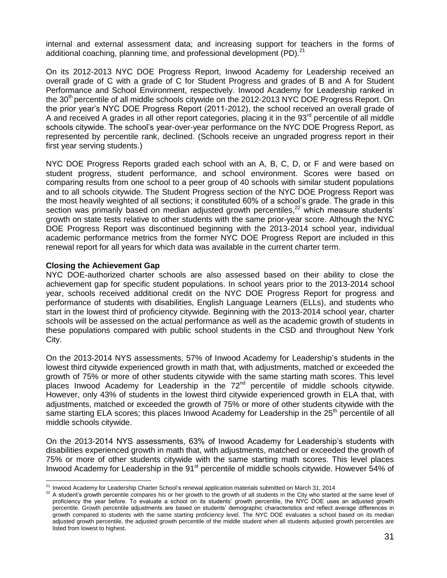internal and external assessment data; and increasing support for teachers in the forms of additional coaching, planning time, and professional development (PD). $^{21}$ 

On its 2012-2013 NYC DOE Progress Report, Inwood Academy for Leadership received an overall grade of C with a grade of C for Student Progress and grades of B and A for Student Performance and School Environment, respectively. Inwood Academy for Leadership ranked in the 30<sup>th</sup> percentile of all middle schools citywide on the 2012-2013 NYC DOE Progress Report. On the prior year's NYC DOE Progress Report (2011-2012), the school received an overall grade of A and received A grades in all other report categories, placing it in the  $93<sup>rd</sup>$  percentile of all middle schools citywide. The school's year-over-year performance on the NYC DOE Progress Report, as represented by percentile rank, declined. (Schools receive an ungraded progress report in their first year serving students.)

NYC DOE Progress Reports graded each school with an A, B, C, D, or F and were based on student progress, student performance, and school environment. Scores were based on comparing results from one school to a peer group of 40 schools with similar student populations and to all schools citywide. The Student Progress section of the NYC DOE Progress Report was the most heavily weighted of all sections; it constituted 60% of a school's grade. The grade in this section was primarily based on median adjusted growth percentiles,<sup>22</sup> which measure students' growth on state tests relative to other students with the same prior-year score. Although the NYC DOE Progress Report was discontinued beginning with the 2013-2014 school year, individual academic performance metrics from the former NYC DOE Progress Report are included in this renewal report for all years for which data was available in the current charter term.

#### **Closing the Achievement Gap**

NYC DOE-authorized charter schools are also assessed based on their ability to close the achievement gap for specific student populations. In school years prior to the 2013-2014 school year, schools received additional credit on the NYC DOE Progress Report for progress and performance of students with disabilities, English Language Learners (ELLs), and students who start in the lowest third of proficiency citywide. Beginning with the 2013-2014 school year, charter schools will be assessed on the actual performance as well as the academic growth of students in these populations compared with public school students in the CSD and throughout New York City.

On the 2013-2014 NYS assessments, 57% of Inwood Academy for Leadership's students in the lowest third citywide experienced growth in math that, with adjustments, matched or exceeded the growth of 75% or more of other students citywide with the same starting math scores. This level places Inwood Academy for Leadership in the 72<sup>nd</sup> percentile of middle schools citywide. However, only 43% of students in the lowest third citywide experienced growth in ELA that, with adjustments, matched or exceeded the growth of 75% or more of other students citywide with the same starting ELA scores; this places Inwood Academy for Leadership in the  $25<sup>th</sup>$  percentile of all middle schools citywide.

On the 2013-2014 NYS assessments, 63% of Inwood Academy for Leadership's students with disabilities experienced growth in math that, with adjustments, matched or exceeded the growth of 75% or more of other students citywide with the same starting math scores. This level places Inwood Academy for Leadership in the  $91<sup>st</sup>$  percentile of middle schools citywide. However 54% of

 $\overline{a}$  $^{21}$  Inwood Academy for Leadership Charter School's renewal application materials submitted on March 31, 2014

<sup>&</sup>lt;sup>22</sup> A student's growth percentile compares his or her growth to the growth of all students in the City who started at the same level of proficiency the year before. To evaluate a school on its students' growth percentile, the NYC DOE uses an adjusted growth percentile. Growth percentile adjustments are based on students' demographic characteristics and reflect average differences in growth compared to students with the same starting proficiency level. The NYC DOE evaluates a school based on its median adjusted growth percentile, the adjusted growth percentile of the middle student when all students adjusted growth percentiles are listed from lowest to highest.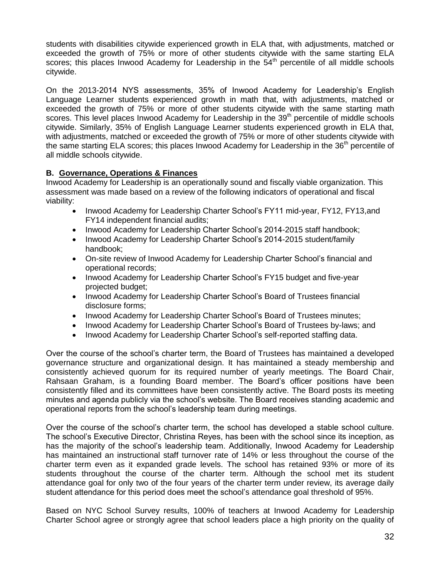students with disabilities citywide experienced growth in ELA that, with adjustments, matched or exceeded the growth of 75% or more of other students citywide with the same starting ELA scores; this places Inwood Academy for Leadership in the  $54<sup>th</sup>$  percentile of all middle schools citywide.

On the 2013-2014 NYS assessments, 35% of Inwood Academy for Leadership's English Language Learner students experienced growth in math that, with adjustments, matched or exceeded the growth of 75% or more of other students citywide with the same starting math scores. This level places Inwood Academy for Leadership in the  $39<sup>th</sup>$  percentile of middle schools citywide. Similarly, 35% of English Language Learner students experienced growth in ELA that, with adjustments, matched or exceeded the growth of 75% or more of other students citywide with the same starting ELA scores; this places Inwood Academy for Leadership in the 36<sup>th</sup> percentile of all middle schools citywide.

### **B. Governance, Operations & Finances**

Inwood Academy for Leadership is an operationally sound and fiscally viable organization. This assessment was made based on a review of the following indicators of operational and fiscal viability:

- Inwood Academy for Leadership Charter School's FY11 mid-year, FY12, FY13, and FY14 independent financial audits;
- Inwood Academy for Leadership Charter School's 2014-2015 staff handbook;
- Inwood Academy for Leadership Charter School's 2014-2015 student/family handbook;
- On-site review of Inwood Academy for Leadership Charter School's financial and operational records;
- Inwood Academy for Leadership Charter School's FY15 budget and five-year projected budget;
- Inwood Academy for Leadership Charter School's Board of Trustees financial disclosure forms;
- Inwood Academy for Leadership Charter School's Board of Trustees minutes;
- Inwood Academy for Leadership Charter School's Board of Trustees by-laws; and
- Inwood Academy for Leadership Charter School's self-reported staffing data.

Over the course of the school's charter term, the Board of Trustees has maintained a developed governance structure and organizational design. It has maintained a steady membership and consistently achieved quorum for its required number of yearly meetings. The Board Chair, Rahsaan Graham, is a founding Board member. The Board's officer positions have been consistently filled and its committees have been consistently active. The Board posts its meeting minutes and agenda publicly via the school's website. The Board receives standing academic and operational reports from the school's leadership team during meetings.

Over the course of the school's charter term, the school has developed a stable school culture. The school's Executive Director, Christina Reyes, has been with the school since its inception, as has the majority of the school's leadership team. Additionally, Inwood Academy for Leadership has maintained an instructional staff turnover rate of 14% or less throughout the course of the charter term even as it expanded grade levels. The school has retained 93% or more of its students throughout the course of the charter term. Although the school met its student attendance goal for only two of the four years of the charter term under review, its average daily student attendance for this period does meet the school's attendance goal threshold of 95%.

Based on NYC School Survey results, 100% of teachers at Inwood Academy for Leadership Charter School agree or strongly agree that school leaders place a high priority on the quality of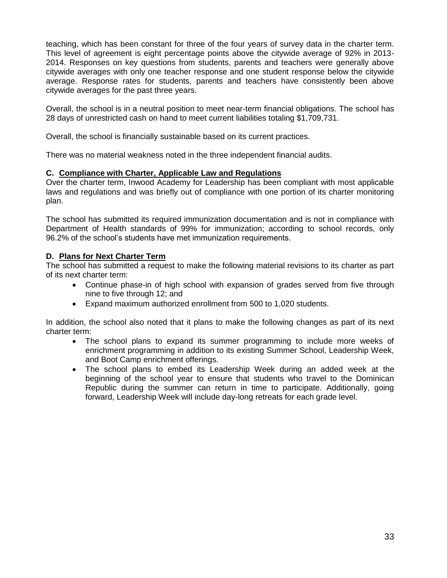teaching, which has been constant for three of the four years of survey data in the charter term. This level of agreement is eight percentage points above the citywide average of 92% in 2013- 2014. Responses on key questions from students, parents and teachers were generally above citywide averages with only one teacher response and one student response below the citywide average. Response rates for students, parents and teachers have consistently been above citywide averages for the past three years.

Overall, the school is in a neutral position to meet near-term financial obligations. The school has 28 days of unrestricted cash on hand to meet current liabilities totaling \$1,709,731.

Overall, the school is financially sustainable based on its current practices.

There was no material weakness noted in the three independent financial audits.

#### **C. Compliance with Charter, Applicable Law and Regulations**

Over the charter term, Inwood Academy for Leadership has been compliant with most applicable laws and regulations and was briefly out of compliance with one portion of its charter monitoring plan.

The school has submitted its required immunization documentation and is not in compliance with Department of Health standards of 99% for immunization; according to school records, only 96.2% of the school's students have met immunization requirements.

#### **D. Plans for Next Charter Term**

The school has submitted a request to make the following material revisions to its charter as part of its next charter term:

- Continue phase-in of high school with expansion of grades served from five through nine to five through 12; and
- Expand maximum authorized enrollment from 500 to 1,020 students.

In addition, the school also noted that it plans to make the following changes as part of its next charter term:

- The school plans to expand its summer programming to include more weeks of enrichment programming in addition to its existing Summer School, Leadership Week, and Boot Camp enrichment offerings.
- The school plans to embed its Leadership Week during an added week at the beginning of the school year to ensure that students who travel to the Dominican Republic during the summer can return in time to participate. Additionally, going forward, Leadership Week will include day-long retreats for each grade level.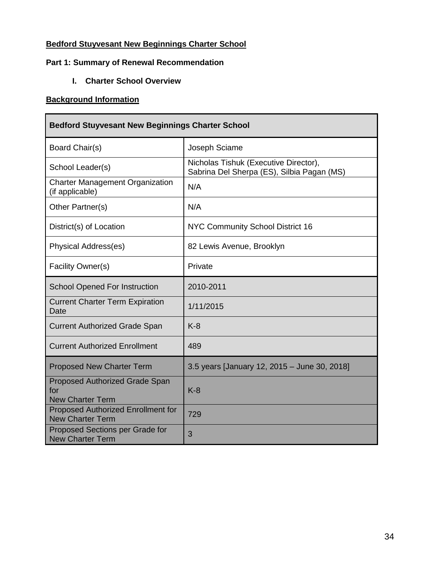## **Bedford Stuyvesant New Beginnings Charter School**

## **Part 1: Summary of Renewal Recommendation**

**I. Charter School Overview**

## **Background Information**

| <b>Bedford Stuyvesant New Beginnings Charter School</b>          |                                                                                     |
|------------------------------------------------------------------|-------------------------------------------------------------------------------------|
| Board Chair(s)                                                   | Joseph Sciame                                                                       |
| School Leader(s)                                                 | Nicholas Tishuk (Executive Director),<br>Sabrina Del Sherpa (ES), Silbia Pagan (MS) |
| <b>Charter Management Organization</b><br>(if applicable)        | N/A                                                                                 |
| Other Partner(s)                                                 | N/A                                                                                 |
| District(s) of Location                                          | NYC Community School District 16                                                    |
| Physical Address(es)                                             | 82 Lewis Avenue, Brooklyn                                                           |
| Facility Owner(s)                                                | Private                                                                             |
| <b>School Opened For Instruction</b>                             | 2010-2011                                                                           |
| <b>Current Charter Term Expiration</b><br>Date                   | 1/11/2015                                                                           |
| <b>Current Authorized Grade Span</b>                             | $K-8$                                                                               |
| <b>Current Authorized Enrollment</b>                             | 489                                                                                 |
| <b>Proposed New Charter Term</b>                                 | 3.5 years [January 12, 2015 - June 30, 2018]                                        |
| Proposed Authorized Grade Span<br>for<br><b>New Charter Term</b> | $K-8$                                                                               |
| Proposed Authorized Enrollment for<br><b>New Charter Term</b>    | 729                                                                                 |
| Proposed Sections per Grade for<br><b>New Charter Term</b>       | 3                                                                                   |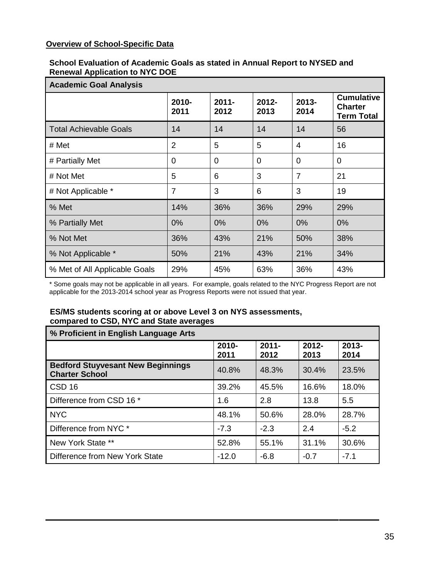## **Overview of School-Specific Data**

#### **School Evaluation of Academic Goals as stated in Annual Report to NYSED and Renewal Application to NYC DOE**

| <b>Academic Goal Analysis</b> |                |                  |                  |                  |                                                          |  |
|-------------------------------|----------------|------------------|------------------|------------------|----------------------------------------------------------|--|
|                               | 2010-<br>2011  | $2011 -$<br>2012 | $2012 -$<br>2013 | $2013 -$<br>2014 | <b>Cumulative</b><br><b>Charter</b><br><b>Term Total</b> |  |
| <b>Total Achievable Goals</b> | 14             | 14               | 14               | 14               | 56                                                       |  |
| # Met                         | 2              | 5                | 5                | $\overline{4}$   | 16                                                       |  |
| # Partially Met               | 0              | $\Omega$         | $\Omega$         | $\Omega$         | $\Omega$                                                 |  |
| # Not Met                     | 5              | 6                | 3                | $\overline{7}$   | 21                                                       |  |
| # Not Applicable *            | $\overline{7}$ | 3                | 6                | 3                | 19                                                       |  |
| % Met                         | 14%            | 36%              | 36%              | 29%              | 29%                                                      |  |
| % Partially Met               | 0%             | 0%               | 0%               | 0%               | 0%                                                       |  |
| % Not Met                     | 36%            | 43%              | 21%              | 50%              | 38%                                                      |  |
| % Not Applicable *            | 50%            | 21%              | 43%              | 21%              | 34%                                                      |  |
| % Met of All Applicable Goals | 29%            | 45%              | 63%              | 36%              | 43%                                                      |  |

\* Some goals may not be applicable in all years. For example, goals related to the NYC Progress Report are not applicable for the 2013-2014 school year as Progress Reports were not issued that year.

## **ES/MS students scoring at or above Level 3 on NYS assessments, compared to CSD, NYC and State averages**

| % Proficient in English Language Arts                             |               |                  |                  |               |
|-------------------------------------------------------------------|---------------|------------------|------------------|---------------|
|                                                                   | 2010-<br>2011 | $2011 -$<br>2012 | $2012 -$<br>2013 | 2013-<br>2014 |
| <b>Bedford Stuyvesant New Beginnings</b><br><b>Charter School</b> | 40.8%         | 48.3%            | 30.4%            | 23.5%         |
| CSD <sub>16</sub>                                                 | 39.2%         | 45.5%            | 16.6%            | 18.0%         |
| Difference from CSD 16 *                                          | 1.6           | 2.8              | 13.8             | 5.5           |
| <b>NYC</b>                                                        | 48.1%         | 50.6%            | 28.0%            | 28.7%         |
| Difference from NYC *                                             | $-7.3$        | $-2.3$           | 2.4              | $-5.2$        |
| New York State **                                                 | 52.8%         | 55.1%            | 31.1%            | 30.6%         |
| Difference from New York State                                    | $-12.0$       | $-6.8$           | $-0.7$           | $-7.1$        |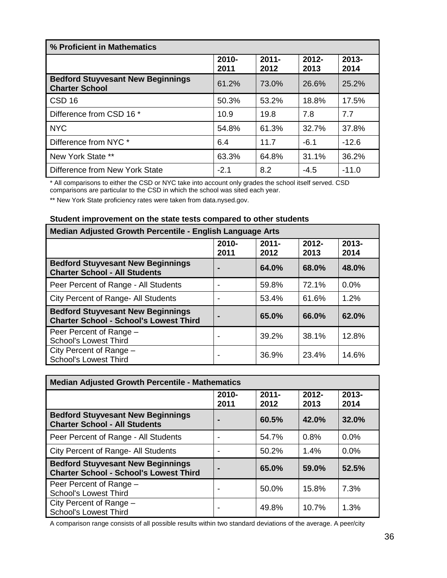| % Proficient in Mathematics                                       |               |                  |                  |                  |
|-------------------------------------------------------------------|---------------|------------------|------------------|------------------|
|                                                                   | 2010-<br>2011 | $2011 -$<br>2012 | $2012 -$<br>2013 | $2013 -$<br>2014 |
| <b>Bedford Stuyvesant New Beginnings</b><br><b>Charter School</b> | 61.2%         | 73.0%            | 26.6%            | 25.2%            |
| CSD <sub>16</sub>                                                 | 50.3%         | 53.2%            | 18.8%            | 17.5%            |
| Difference from CSD 16 *                                          | 10.9          | 19.8             | 7.8              | 7.7              |
| <b>NYC</b>                                                        | 54.8%         | 61.3%            | 32.7%            | 37.8%            |
| Difference from NYC *                                             | 6.4           | 11.7             | -6.1             | $-12.6$          |
| New York State **                                                 | 63.3%         | 64.8%            | 31.1%            | 36.2%            |
| Difference from New York State                                    | $-2.1$        | 8.2              | $-4.5$           | $-11.0$          |

\* All comparisons to either the CSD or NYC take into account only grades the school itself served. CSD comparisons are particular to the CSD in which the school was sited each year.

\*\* New York State proficiency rates were taken from data.nysed.gov.

### **Student improvement on the state tests compared to other students**

| Median Adjusted Growth Percentile - English Language Arts                                 |                  |                  |                  |                  |
|-------------------------------------------------------------------------------------------|------------------|------------------|------------------|------------------|
|                                                                                           | $2010 -$<br>2011 | $2011 -$<br>2012 | $2012 -$<br>2013 | $2013 -$<br>2014 |
| <b>Bedford Stuyvesant New Beginnings</b><br><b>Charter School - All Students</b>          |                  | 64.0%            | 68.0%            | 48.0%            |
| Peer Percent of Range - All Students                                                      |                  | 59.8%            | 72.1%            | 0.0%             |
| City Percent of Range- All Students                                                       |                  | 53.4%            | 61.6%            | 1.2%             |
| <b>Bedford Stuyvesant New Beginnings</b><br><b>Charter School - School's Lowest Third</b> |                  | 65.0%            | 66.0%            | 62.0%            |
| Peer Percent of Range -<br><b>School's Lowest Third</b>                                   |                  | 39.2%            | 38.1%            | 12.8%            |
| City Percent of Range -<br><b>School's Lowest Third</b>                                   |                  | 36.9%            | 23.4%            | 14.6%            |

| <b>Median Adjusted Growth Percentile - Mathematics</b>                                    |                  |                  |                  |                  |
|-------------------------------------------------------------------------------------------|------------------|------------------|------------------|------------------|
|                                                                                           | $2010 -$<br>2011 | $2011 -$<br>2012 | $2012 -$<br>2013 | $2013 -$<br>2014 |
| <b>Bedford Stuyvesant New Beginnings</b><br><b>Charter School - All Students</b>          |                  | 60.5%            | 42.0%            | 32.0%            |
| Peer Percent of Range - All Students                                                      |                  | 54.7%            | 0.8%             | 0.0%             |
| City Percent of Range- All Students                                                       |                  | 50.2%            | 1.4%             | 0.0%             |
| <b>Bedford Stuyvesant New Beginnings</b><br><b>Charter School - School's Lowest Third</b> |                  | 65.0%            | 59.0%            | 52.5%            |
| Peer Percent of Range -<br><b>School's Lowest Third</b>                                   |                  | 50.0%            | 15.8%            | 7.3%             |
| City Percent of Range -<br><b>School's Lowest Third</b>                                   | -                | 49.8%            | 10.7%            | 1.3%             |

A comparison range consists of all possible results within two standard deviations of the average. A peer/city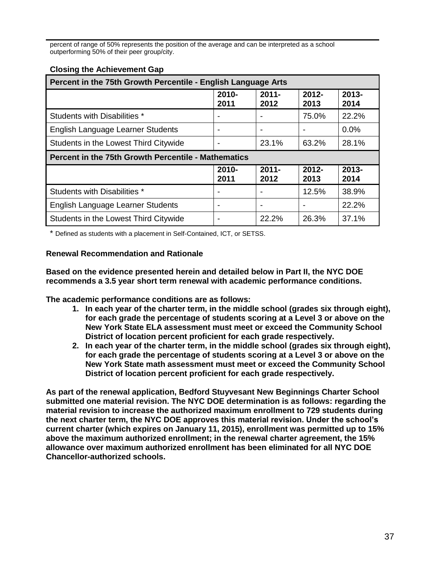percent of range of 50% represents the position of the average and can be interpreted as a school outperforming 50% of their peer group/city.

| 2010-<br>2011            | $2011 -$<br>2012         | $2012 -$<br>2013                                                                                                            | $2013 -$<br>2014 |
|--------------------------|--------------------------|-----------------------------------------------------------------------------------------------------------------------------|------------------|
|                          |                          | 75.0%                                                                                                                       | 22.2%            |
| $\overline{\phantom{a}}$ | $\overline{\phantom{a}}$ | $\overline{\phantom{a}}$                                                                                                    | 0.0%             |
| $\overline{\phantom{a}}$ | 23.1%                    | 63.2%                                                                                                                       | 28.1%            |
|                          |                          |                                                                                                                             |                  |
| $2010 -$<br>2011         | $2011 -$<br>2012         | $2012 -$<br>2013                                                                                                            | $2013 -$<br>2014 |
|                          |                          | 12.5%                                                                                                                       | 38.9%            |
| $\overline{\phantom{a}}$ | $\overline{\phantom{0}}$ | $\overline{\phantom{0}}$                                                                                                    | 22.2%            |
| $\overline{\phantom{a}}$ | 22.2%                    | 26.3%                                                                                                                       | 37.1%            |
|                          |                          | Percent in the 75th Growth Percentile - English Language Arts<br><b>Percent in the 75th Growth Percentile - Mathematics</b> |                  |

\* Defined as students with a placement in Self-Contained, ICT, or SETSS.

#### **Renewal Recommendation and Rationale**

**Based on the evidence presented herein and detailed below in Part II, the NYC DOE recommends a 3.5 year short term renewal with academic performance conditions.**

**The academic performance conditions are as follows:**

- **1. In each year of the charter term, in the middle school (grades six through eight), for each grade the percentage of students scoring at a Level 3 or above on the New York State ELA assessment must meet or exceed the Community School District of location percent proficient for each grade respectively.**
- **2. In each year of the charter term, in the middle school (grades six through eight), for each grade the percentage of students scoring at a Level 3 or above on the New York State math assessment must meet or exceed the Community School District of location percent proficient for each grade respectively.**

**As part of the renewal application, Bedford Stuyvesant New Beginnings Charter School submitted one material revision. The NYC DOE determination is as follows: regarding the material revision to increase the authorized maximum enrollment to 729 students during the next charter term, the NYC DOE approves this material revision. Under the school's current charter (which expires on January 11, 2015), enrollment was permitted up to 15% above the maximum authorized enrollment; in the renewal charter agreement, the 15% allowance over maximum authorized enrollment has been eliminated for all NYC DOE Chancellor-authorized schools.**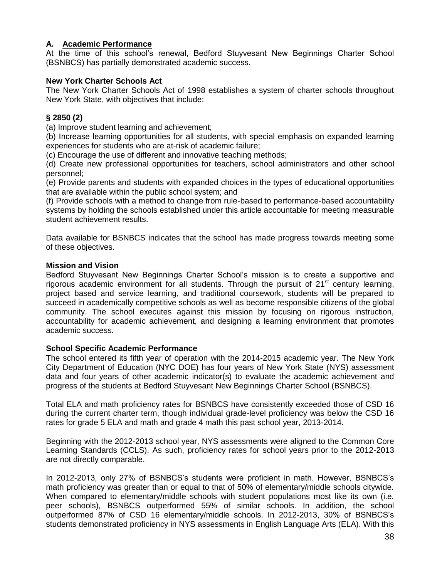#### **A. Academic Performance**

At the time of this school's renewal, Bedford Stuyvesant New Beginnings Charter School (BSNBCS) has partially demonstrated academic success.

#### **New York Charter Schools Act**

The New York Charter Schools Act of 1998 establishes a system of charter schools throughout New York State, with objectives that include:

### **§ 2850 (2)**

(a) Improve student learning and achievement;

(b) Increase learning opportunities for all students, with special emphasis on expanded learning experiences for students who are at-risk of academic failure;

(c) Encourage the use of different and innovative teaching methods;

(d) Create new professional opportunities for teachers, school administrators and other school personnel;

(e) Provide parents and students with expanded choices in the types of educational opportunities that are available within the public school system; and

(f) Provide schools with a method to change from rule-based to performance-based accountability systems by holding the schools established under this article accountable for meeting measurable student achievement results.

Data available for BSNBCS indicates that the school has made progress towards meeting some of these objectives.

#### **Mission and Vision**

Bedford Stuyvesant New Beginnings Charter School's mission is to create a supportive and rigorous academic environment for all students. Through the pursuit of  $21<sup>st</sup>$  century learning, project based and service learning, and traditional coursework, students will be prepared to succeed in academically competitive schools as well as become responsible citizens of the global community. The school executes against this mission by focusing on rigorous instruction, accountability for academic achievement, and designing a learning environment that promotes academic success.

#### **School Specific Academic Performance**

The school entered its fifth year of operation with the 2014-2015 academic year. The New York City Department of Education (NYC DOE) has four years of New York State (NYS) assessment data and four years of other academic indicator(s) to evaluate the academic achievement and progress of the students at Bedford Stuyvesant New Beginnings Charter School (BSNBCS).

Total ELA and math proficiency rates for BSNBCS have consistently exceeded those of CSD 16 during the current charter term, though individual grade-level proficiency was below the CSD 16 rates for grade 5 ELA and math and grade 4 math this past school year, 2013-2014.

Beginning with the 2012-2013 school year, NYS assessments were aligned to the Common Core Learning Standards (CCLS). As such, proficiency rates for school years prior to the 2012-2013 are not directly comparable.

In 2012-2013, only 27% of BSNBCS's students were proficient in math. However, BSNBCS's math proficiency was greater than or equal to that of 50% of elementary/middle schools citywide. When compared to elementary/middle schools with student populations most like its own (i.e. peer schools), BSNBCS outperformed 55% of similar schools. In addition, the school outperformed 87% of CSD 16 elementary/middle schools. In 2012-2013, 30% of BSNBCS's students demonstrated proficiency in NYS assessments in English Language Arts (ELA). With this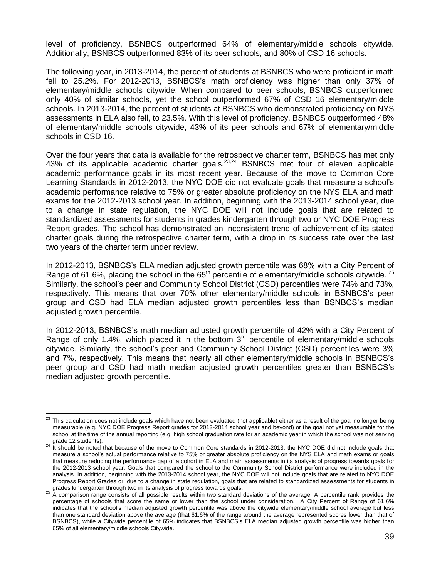level of proficiency, BSNBCS outperformed 64% of elementary/middle schools citywide. Additionally, BSNBCS outperformed 83% of its peer schools, and 80% of CSD 16 schools.

The following year, in 2013-2014, the percent of students at BSNBCS who were proficient in math fell to 25.2%. For 2012-2013, BSNBCS's math proficiency was higher than only 37% of elementary/middle schools citywide. When compared to peer schools, BSNBCS outperformed only 40% of similar schools, yet the school outperformed 67% of CSD 16 elementary/middle schools. In 2013-2014, the percent of students at BSNBCS who demonstrated proficiency on NYS assessments in ELA also fell, to 23.5%. With this level of proficiency, BSNBCS outperformed 48% of elementary/middle schools citywide, 43% of its peer schools and 67% of elementary/middle schools in CSD 16.

Over the four years that data is available for the retrospective charter term, BSNBCS has met only 43% of its applicable academic charter goals.<sup>23,24</sup> BSNBCS met four of eleven applicable academic performance goals in its most recent year. Because of the move to Common Core Learning Standards in 2012-2013, the NYC DOE did not evaluate goals that measure a school's academic performance relative to 75% or greater absolute proficiency on the NYS ELA and math exams for the 2012-2013 school year. In addition, beginning with the 2013-2014 school year, due to a change in state regulation, the NYC DOE will not include goals that are related to standardized assessments for students in grades kindergarten through two or NYC DOE Progress Report grades. The school has demonstrated an inconsistent trend of achievement of its stated charter goals during the retrospective charter term, with a drop in its success rate over the last two years of the charter term under review.

In 2012-2013, BSNBCS's ELA median adjusted growth percentile was 68% with a City Percent of Range of 61.6%, placing the school in the 65<sup>th</sup> percentile of elementary/middle schools citywide. <sup>25</sup> Similarly, the school's peer and Community School District (CSD) percentiles were 74% and 73%, respectively. This means that over 70% other elementary/middle schools in BSNBCS's peer group and CSD had ELA median adjusted growth percentiles less than BSNBCS's median adjusted growth percentile.

In 2012-2013, BSNBCS's math median adjusted growth percentile of 42% with a City Percent of Range of only 1.4%, which placed it in the bottom  $3<sup>rd</sup>$  percentile of elementary/middle schools citywide. Similarly, the school's peer and Community School District (CSD) percentiles were 3% and 7%, respectively. This means that nearly all other elementary/middle schools in BSNBCS's peer group and CSD had math median adjusted growth percentiles greater than BSNBCS's median adjusted growth percentile.

<sup>23</sup> <sup>23</sup> This calculation does not include goals which have not been evaluated (not applicable) either as a result of the goal no longer being measurable (e.g. NYC DOE Progress Report grades for 2013-2014 school year and beyond) or the goal not yet measurable for the school at the time of the annual reporting (e.g. high school graduation rate for an academic year in which the school was not serving grade 12 students).

<sup>&</sup>lt;sup>24</sup> It should be noted that because of the move to Common Core standards in 2012-2013, the NYC DOE did not include goals that measure a school's actual performance relative to 75% or greater absolute proficiency on the NYS ELA and math exams or goals that measure reducing the performance gap of a cohort in ELA and math assessments in its analysis of progress towards goals for the 2012-2013 school year. Goals that compared the school to the Community School District performance were included in the analysis. In addition, beginning with the 2013-2014 school year, the NYC DOE will not include goals that are related to NYC DOE Progress Report Grades or, due to a change in state regulation, goals that are related to standardized assessments for students in

grades kindergarten through two in its analysis of progress towards goals.<br><sup>25</sup> A comparison range consists of all possible results within two standard deviations of the average. A percentile rank provides the percentage of schools that score the same or lower than the school under consideration. A City Percent of Range of 61.6% indicates that the school's median adjusted growth percentile was above the citywide elementary/middle school average but less than one standard deviation above the average (that 61.6% of the range around the average represented scores lower than that of BSNBCS), while a Citywide percentile of 65% indicates that BSNBCS's ELA median adjusted growth percentile was higher than 65% of all elementary/middle schools Citywide.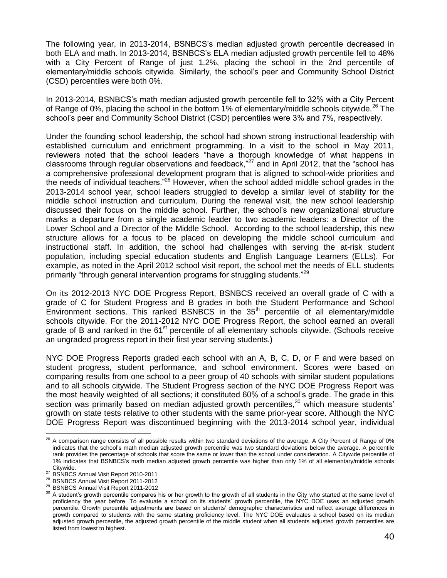The following year, in 2013-2014, BSNBCS's median adjusted growth percentile decreased in both ELA and math. In 2013-2014, BSNBCS's ELA median adjusted growth percentile fell to 48% with a City Percent of Range of just 1.2%, placing the school in the 2nd percentile of elementary/middle schools citywide. Similarly, the school's peer and Community School District (CSD) percentiles were both 0%.

In 2013-2014, BSNBCS's math median adjusted growth percentile fell to 32% with a City Percent of Range of 0%, placing the school in the bottom 1% of elementary/middle schools citywide.<sup>26</sup> The school's peer and Community School District (CSD) percentiles were 3% and 7%, respectively.

Under the founding school leadership, the school had shown strong instructional leadership with established curriculum and enrichment programming. In a visit to the school in May 2011, reviewers noted that the school leaders "have a thorough knowledge of what happens in classrooms through regular observations and feedback,"<sup>27</sup> and in April 2012, that the "school has a comprehensive professional development program that is aligned to school-wide priorities and the needs of individual teachers."<sup>28</sup> However, when the school added middle school grades in the 2013-2014 school year, school leaders struggled to develop a similar level of stability for the middle school instruction and curriculum. During the renewal visit, the new school leadership discussed their focus on the middle school. Further, the school's new organizational structure marks a departure from a single academic leader to two academic leaders: a Director of the Lower School and a Director of the Middle School. According to the school leadership, this new structure allows for a focus to be placed on developing the middle school curriculum and instructional staff. In addition, the school had challenges with serving the at-risk student population, including special education students and English Language Learners (ELLs). For example, as noted in the April 2012 school visit report, the school met the needs of ELL students primarily "through general intervention programs for struggling students."<sup>29</sup>

On its 2012-2013 NYC DOE Progress Report, BSNBCS received an overall grade of C with a grade of C for Student Progress and B grades in both the Student Performance and School Environment sections. This ranked BSNBCS in the  $35<sup>th</sup>$  percentile of all elementary/middle schools citywide. For the 2011-2012 NYC DOE Progress Report, the school earned an overall grade of B and ranked in the  $61<sup>st</sup>$  percentile of all elementary schools citywide. (Schools receive an ungraded progress report in their first year serving students.)

NYC DOE Progress Reports graded each school with an A, B, C, D, or F and were based on student progress, student performance, and school environment. Scores were based on comparing results from one school to a peer group of 40 schools with similar student populations and to all schools citywide. The Student Progress section of the NYC DOE Progress Report was the most heavily weighted of all sections; it constituted 60% of a school's grade. The grade in this section was primarily based on median adjusted growth percentiles, $30$  which measure students' growth on state tests relative to other students with the same prior-year score. Although the NYC DOE Progress Report was discontinued beginning with the 2013-2014 school year, individual

 $\overline{a}$  $^{26}$  A comparison range consists of all possible results within two standard deviations of the average. A City Percent of Range of 0% indicates that the school's math median adjusted growth percentile was two standard deviations below the average. A percentile rank provides the percentage of schools that score the same or lower than the school under consideration. A Citywide percentile of 1% indicates that BSNBCS's math median adjusted growth percentile was higher than only 1% of all elementary/middle schools Citywide.

<sup>&</sup>lt;sup>27</sup> BSNBCS Annual Visit Report 2010-2011

<sup>28</sup> BSNBCS Annual Visit Report 2011-2012

<sup>29</sup> BSNBCS Annual Visit Report 2011-2012

<sup>&</sup>lt;sup>30</sup> A student's growth percentile compares his or her growth to the growth of all students in the City who started at the same level of proficiency the year before. To evaluate a school on its students' growth percentile, the NYC DOE uses an adjusted growth percentile. Growth percentile adjustments are based on students' demographic characteristics and reflect average differences in growth compared to students with the same starting proficiency level. The NYC DOE evaluates a school based on its median adjusted growth percentile, the adjusted growth percentile of the middle student when all students adjusted growth percentiles are listed from lowest to highest.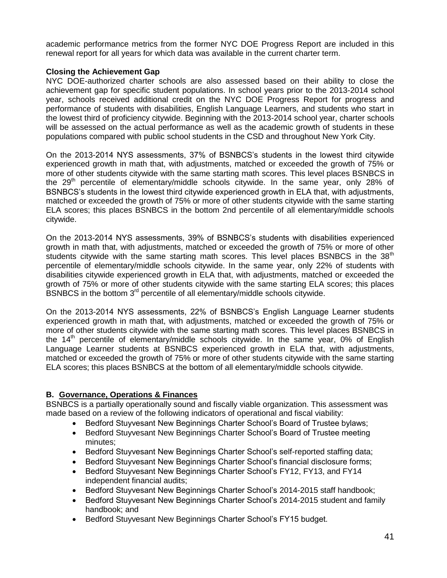academic performance metrics from the former NYC DOE Progress Report are included in this renewal report for all years for which data was available in the current charter term.

#### **Closing the Achievement Gap**

NYC DOE-authorized charter schools are also assessed based on their ability to close the achievement gap for specific student populations. In school years prior to the 2013-2014 school year, schools received additional credit on the NYC DOE Progress Report for progress and performance of students with disabilities, English Language Learners, and students who start in the lowest third of proficiency citywide. Beginning with the 2013-2014 school year, charter schools will be assessed on the actual performance as well as the academic growth of students in these populations compared with public school students in the CSD and throughout New York City.

On the 2013-2014 NYS assessments, 37% of BSNBCS's students in the lowest third citywide experienced growth in math that, with adjustments, matched or exceeded the growth of 75% or more of other students citywide with the same starting math scores. This level places BSNBCS in the 29<sup>th</sup> percentile of elementary/middle schools citywide. In the same year, only 28% of BSNBCS's students in the lowest third citywide experienced growth in ELA that, with adjustments, matched or exceeded the growth of 75% or more of other students citywide with the same starting ELA scores; this places BSNBCS in the bottom 2nd percentile of all elementary/middle schools citywide.

On the 2013-2014 NYS assessments, 39% of BSNBCS's students with disabilities experienced growth in math that, with adjustments, matched or exceeded the growth of 75% or more of other students citywide with the same starting math scores. This level places BSNBCS in the  $38<sup>th</sup>$ percentile of elementary/middle schools citywide. In the same year, only 22% of students with disabilities citywide experienced growth in ELA that, with adjustments, matched or exceeded the growth of 75% or more of other students citywide with the same starting ELA scores; this places BSNBCS in the bottom  $3<sup>rd</sup>$  percentile of all elementary/middle schools citywide.

On the 2013-2014 NYS assessments, 22% of BSNBCS's English Language Learner students experienced growth in math that, with adjustments, matched or exceeded the growth of 75% or more of other students citywide with the same starting math scores. This level places BSNBCS in the  $14<sup>th</sup>$  percentile of elementary/middle schools citywide. In the same year, 0% of English Language Learner students at BSNBCS experienced growth in ELA that, with adjustments, matched or exceeded the growth of 75% or more of other students citywide with the same starting ELA scores; this places BSNBCS at the bottom of all elementary/middle schools citywide.

## **B. Governance, Operations & Finances**

BSNBCS is a partially operationally sound and fiscally viable organization. This assessment was made based on a review of the following indicators of operational and fiscal viability:

- Bedford Stuyvesant New Beginnings Charter School's Board of Trustee bylaws;
- Bedford Stuyvesant New Beginnings Charter School's Board of Trustee meeting minutes;
- Bedford Stuyvesant New Beginnings Charter School's self-reported staffing data;
- Bedford Stuyvesant New Beginnings Charter School's financial disclosure forms;
- Bedford Stuyvesant New Beginnings Charter School's FY12, FY13, and FY14 independent financial audits;
- Bedford Stuyvesant New Beginnings Charter School's 2014-2015 staff handbook;
- Bedford Stuyvesant New Beginnings Charter School's 2014-2015 student and family handbook; and
- Bedford Stuyvesant New Beginnings Charter School's FY15 budget.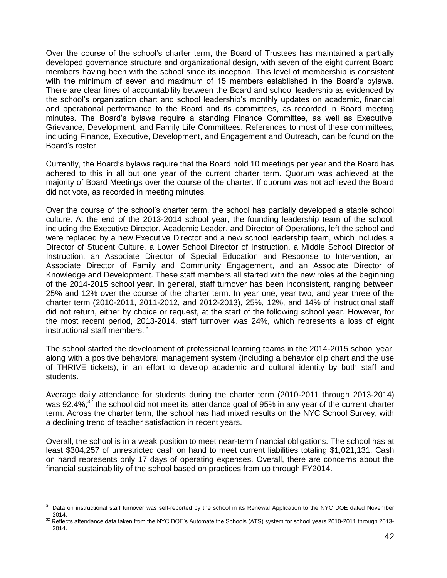Over the course of the school's charter term, the Board of Trustees has maintained a partially developed governance structure and organizational design, with seven of the eight current Board members having been with the school since its inception. This level of membership is consistent with the minimum of seven and maximum of 15 members established in the Board's bylaws. There are clear lines of accountability between the Board and school leadership as evidenced by the school's organization chart and school leadership's monthly updates on academic, financial and operational performance to the Board and its committees, as recorded in Board meeting minutes. The Board's bylaws require a standing Finance Committee, as well as Executive, Grievance, Development, and Family Life Committees. References to most of these committees, including Finance, Executive, Development, and Engagement and Outreach, can be found on the Board's roster.

Currently, the Board's bylaws require that the Board hold 10 meetings per year and the Board has adhered to this in all but one year of the current charter term. Quorum was achieved at the majority of Board Meetings over the course of the charter. If quorum was not achieved the Board did not vote, as recorded in meeting minutes.

Over the course of the school's charter term, the school has partially developed a stable school culture. At the end of the 2013-2014 school year, the founding leadership team of the school, including the Executive Director, Academic Leader, and Director of Operations, left the school and were replaced by a new Executive Director and a new school leadership team, which includes a Director of Student Culture, a Lower School Director of Instruction, a Middle School Director of Instruction, an Associate Director of Special Education and Response to Intervention, an Associate Director of Family and Community Engagement, and an Associate Director of Knowledge and Development. These staff members all started with the new roles at the beginning of the 2014-2015 school year. In general, staff turnover has been inconsistent, ranging between 25% and 12% over the course of the charter term. In year one, year two, and year three of the charter term (2010-2011, 2011-2012, and 2012-2013), 25%, 12%, and 14% of instructional staff did not return, either by choice or request, at the start of the following school year. However, for the most recent period, 2013-2014, staff turnover was 24%, which represents a loss of eight instructional staff members. 31

The school started the development of professional learning teams in the 2014-2015 school year, along with a positive behavioral management system (including a behavior clip chart and the use of THRIVE tickets), in an effort to develop academic and cultural identity by both staff and students.

Average daily attendance for students during the charter term (2010-2011 through 2013-2014) was 92.4%;<sup>32</sup> the school did not meet its attendance goal of 95% in any year of the current charter term. Across the charter term, the school has had mixed results on the NYC School Survey, with a declining trend of teacher satisfaction in recent years.

Overall, the school is in a weak position to meet near-term financial obligations. The school has at least \$304,257 of unrestricted cash on hand to meet current liabilities totaling \$1,021,131. Cash on hand represents only 17 days of operating expenses. Overall, there are concerns about the financial sustainability of the school based on practices from up through FY2014.

 $\overline{a}$ 

Data on instructional staff turnover was self-reported by the school in its Renewal Application to the NYC DOE dated November 2014.

<sup>&</sup>lt;sup>32</sup> Reflects attendance data taken from the NYC DOE's Automate the Schools (ATS) system for school years 2010-2011 through 2013-2014.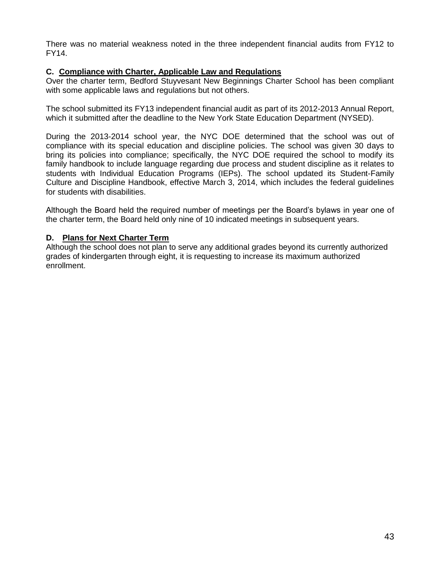There was no material weakness noted in the three independent financial audits from FY12 to FY14.

#### **C. Compliance with Charter, Applicable Law and Regulations**

Over the charter term, Bedford Stuyvesant New Beginnings Charter School has been compliant with some applicable laws and regulations but not others.

The school submitted its FY13 independent financial audit as part of its 2012-2013 Annual Report, which it submitted after the deadline to the New York State Education Department (NYSED).

During the 2013-2014 school year, the NYC DOE determined that the school was out of compliance with its special education and discipline policies. The school was given 30 days to bring its policies into compliance; specifically, the NYC DOE required the school to modify its family handbook to include language regarding due process and student discipline as it relates to students with Individual Education Programs (IEPs). The school updated its Student-Family Culture and Discipline Handbook, effective March 3, 2014, which includes the federal guidelines for students with disabilities.

Although the Board held the required number of meetings per the Board's bylaws in year one of the charter term, the Board held only nine of 10 indicated meetings in subsequent years.

### **D. Plans for Next Charter Term**

Although the school does not plan to serve any additional grades beyond its currently authorized grades of kindergarten through eight, it is requesting to increase its maximum authorized enrollment.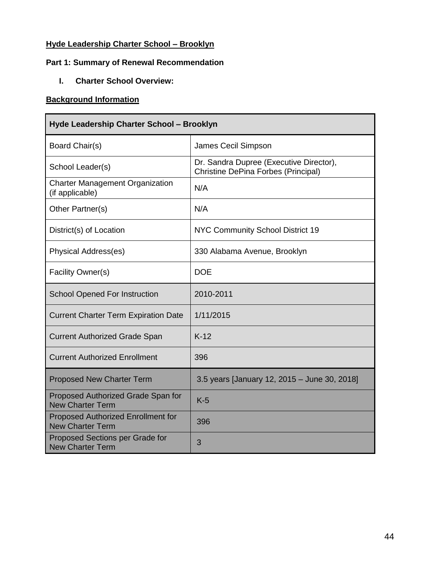## **Hyde Leadership Charter School – Brooklyn**

## **Part 1: Summary of Renewal Recommendation**

**I. Charter School Overview:**

## **Background Information**

| Hyde Leadership Charter School - Brooklyn                            |                                                                                |
|----------------------------------------------------------------------|--------------------------------------------------------------------------------|
| Board Chair(s)                                                       | James Cecil Simpson                                                            |
| School Leader(s)                                                     | Dr. Sandra Dupree (Executive Director),<br>Christine DePina Forbes (Principal) |
| <b>Charter Management Organization</b><br>(if applicable)            | N/A                                                                            |
| Other Partner(s)                                                     | N/A                                                                            |
| District(s) of Location                                              | NYC Community School District 19                                               |
| Physical Address(es)                                                 | 330 Alabama Avenue, Brooklyn                                                   |
| Facility Owner(s)                                                    | <b>DOE</b>                                                                     |
| <b>School Opened For Instruction</b>                                 | 2010-2011                                                                      |
| <b>Current Charter Term Expiration Date</b>                          | 1/11/2015                                                                      |
| <b>Current Authorized Grade Span</b>                                 | $K-12$                                                                         |
| <b>Current Authorized Enrollment</b>                                 | 396                                                                            |
| <b>Proposed New Charter Term</b>                                     | 3.5 years [January 12, 2015 - June 30, 2018]                                   |
| Proposed Authorized Grade Span for<br><b>New Charter Term</b>        | $K-5$                                                                          |
| <b>Proposed Authorized Enrollment for</b><br><b>New Charter Term</b> | 396                                                                            |
| Proposed Sections per Grade for<br><b>New Charter Term</b>           | 3                                                                              |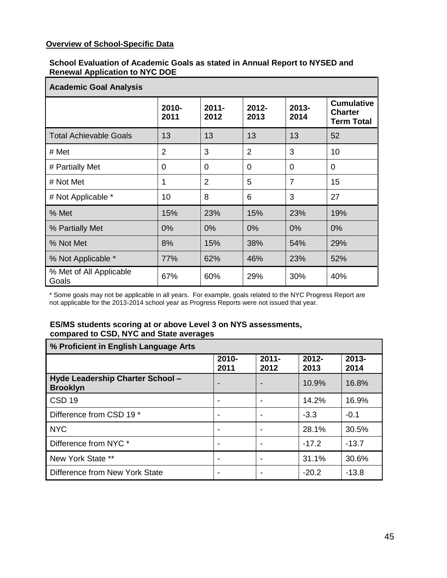## **Overview of School-Specific Data**

#### **School Evaluation of Academic Goals as stated in Annual Report to NYSED and Renewal Application to NYC DOE**

| <b>Academic Goal Analysis</b>    |                |                  |                |                  |                                                          |
|----------------------------------|----------------|------------------|----------------|------------------|----------------------------------------------------------|
|                                  | 2010-<br>2011  | $2011 -$<br>2012 | 2012-<br>2013  | $2013 -$<br>2014 | <b>Cumulative</b><br><b>Charter</b><br><b>Term Total</b> |
| <b>Total Achievable Goals</b>    | 13             | 13               | 13             | 13               | 52                                                       |
| # Met                            | $\overline{2}$ | 3                | $\overline{2}$ | 3                | 10                                                       |
| # Partially Met                  | 0              | 0                | 0              | 0                | $\overline{0}$                                           |
| # Not Met                        | 1              | $\overline{2}$   | 5              | $\overline{7}$   | 15                                                       |
| # Not Applicable *               | 10             | 8                | 6              | 3                | 27                                                       |
| % Met                            | 15%            | 23%              | 15%            | 23%              | 19%                                                      |
| % Partially Met                  | 0%             | 0%               | 0%             | 0%               | 0%                                                       |
| % Not Met                        | 8%             | 15%              | 38%            | 54%              | 29%                                                      |
| % Not Applicable *               | 77%            | 62%              | 46%            | 23%              | 52%                                                      |
| % Met of All Applicable<br>Goals | 67%            | 60%              | 29%            | 30%              | 40%                                                      |

\* Some goals may not be applicable in all years. For example, goals related to the NYC Progress Report are not applicable for the 2013-2014 school year as Progress Reports were not issued that year.

#### **ES/MS students scoring at or above Level 3 on NYS assessments, compared to CSD, NYC and State averages**

| % Proficient in English Language Arts               |                          |                  |                  |                  |
|-----------------------------------------------------|--------------------------|------------------|------------------|------------------|
|                                                     | 2010-<br>2011            | $2011 -$<br>2012 | $2012 -$<br>2013 | $2013 -$<br>2014 |
| Hyde Leadership Charter School -<br><b>Brooklyn</b> | $\overline{\phantom{a}}$ |                  | 10.9%            | 16.8%            |
| CSD <sub>19</sub>                                   |                          |                  | 14.2%            | 16.9%            |
| Difference from CSD 19 *                            | ٠                        |                  | $-3.3$           | $-0.1$           |
| <b>NYC</b>                                          | $\overline{\phantom{a}}$ |                  | 28.1%            | 30.5%            |
| Difference from NYC *                               | $\overline{\phantom{a}}$ |                  | $-17.2$          | $-13.7$          |
| New York State **                                   | $\overline{\phantom{a}}$ |                  | 31.1%            | 30.6%            |
| Difference from New York State                      |                          |                  | $-20.2$          | $-13.8$          |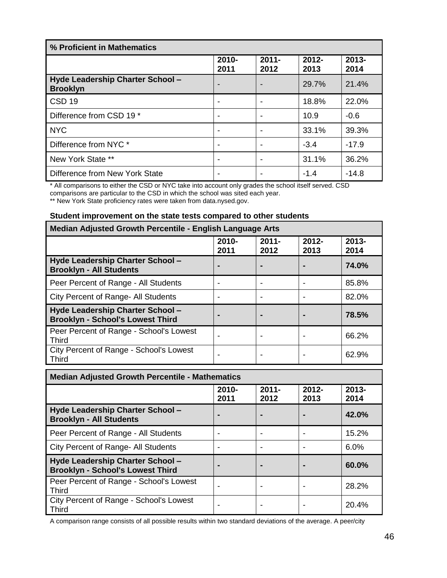| % Proficient in Mathematics                         |                          |                  |                  |                  |
|-----------------------------------------------------|--------------------------|------------------|------------------|------------------|
|                                                     | $2010 -$<br>2011         | $2011 -$<br>2012 | $2012 -$<br>2013 | $2013 -$<br>2014 |
| Hyde Leadership Charter School -<br><b>Brooklyn</b> |                          |                  | 29.7%            | 21.4%            |
| CSD <sub>19</sub>                                   | -                        |                  | 18.8%            | 22.0%            |
| Difference from CSD 19 *                            | $\overline{\phantom{0}}$ |                  | 10.9             | $-0.6$           |
| <b>NYC</b>                                          |                          |                  | 33.1%            | 39.3%            |
| Difference from NYC *                               | $\overline{\phantom{a}}$ |                  | $-3.4$           | $-17.9$          |
| New York State **                                   | $\overline{\phantom{0}}$ |                  | 31.1%            | 36.2%            |
| Difference from New York State                      |                          |                  | $-1.4$           | $-14.8$          |

\* All comparisons to either the CSD or NYC take into account only grades the school itself served. CSD comparisons are particular to the CSD in which the school was sited each year. \*\* New York State proficiency rates were taken from data.nysed.gov.

#### **Student improvement on the state tests compared to other students**

| Median Adjusted Growth Percentile - English Language Arts                   |                |                  |                  |                  |
|-----------------------------------------------------------------------------|----------------|------------------|------------------|------------------|
|                                                                             | 2010-<br>2011  | $2011 -$<br>2012 | $2012 -$<br>2013 | $2013 -$<br>2014 |
| Hyde Leadership Charter School -<br><b>Brooklyn - All Students</b>          | $\blacksquare$ |                  |                  | 74.0%            |
| Peer Percent of Range - All Students                                        |                |                  |                  | 85.8%            |
| City Percent of Range- All Students                                         | -              |                  |                  | 82.0%            |
| Hyde Leadership Charter School -<br><b>Brooklyn - School's Lowest Third</b> | $\blacksquare$ |                  |                  | 78.5%            |
| Peer Percent of Range - School's Lowest<br><b>Third</b>                     |                |                  |                  | 66.2%            |
| City Percent of Range - School's Lowest<br><b>Third</b>                     | -              |                  |                  | 62.9%            |

| <b>Median Adjusted Growth Percentile - Mathematics</b>                      |                  |                  |                  |                  |
|-----------------------------------------------------------------------------|------------------|------------------|------------------|------------------|
|                                                                             | $2010 -$<br>2011 | $2011 -$<br>2012 | $2012 -$<br>2013 | $2013 -$<br>2014 |
| Hyde Leadership Charter School -<br><b>Brooklyn - All Students</b>          |                  | $\blacksquare$   |                  | 42.0%            |
| Peer Percent of Range - All Students                                        |                  |                  |                  | 15.2%            |
| City Percent of Range- All Students                                         |                  |                  |                  | 6.0%             |
| Hyde Leadership Charter School -<br><b>Brooklyn - School's Lowest Third</b> |                  | $\blacksquare$   |                  | 60.0%            |
| Peer Percent of Range - School's Lowest<br><b>Third</b>                     |                  |                  |                  | 28.2%            |
| City Percent of Range - School's Lowest<br><b>Third</b>                     |                  |                  |                  | 20.4%            |

A comparison range consists of all possible results within two standard deviations of the average. A peer/city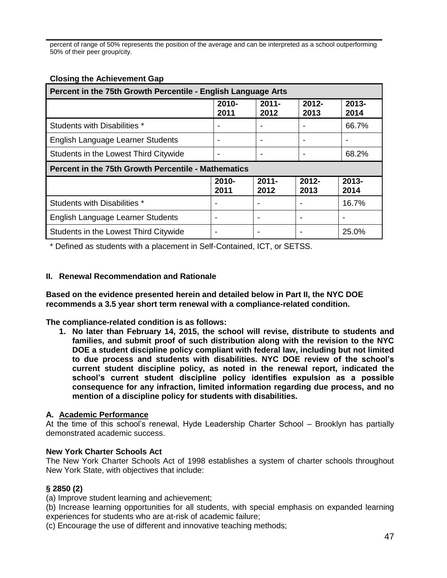percent of range of 50% represents the position of the average and can be interpreted as a school outperforming 50% of their peer group/city.

| Percent in the 75th Growth Percentile - English Language Arts |                          |                  |                  |                  |
|---------------------------------------------------------------|--------------------------|------------------|------------------|------------------|
|                                                               | 2010-<br>2011            | $2011 -$<br>2012 | $2012 -$<br>2013 | $2013 -$<br>2014 |
| Students with Disabilities *                                  | $\overline{\phantom{a}}$ |                  |                  | 66.7%            |
| English Language Learner Students                             |                          |                  |                  |                  |
| Students in the Lowest Third Citywide                         | $\overline{\phantom{a}}$ |                  |                  | 68.2%            |
| <b>Percent in the 75th Growth Percentile - Mathematics</b>    |                          |                  |                  |                  |
|                                                               |                          |                  |                  |                  |
|                                                               | 2010-<br>2011            | $2011 -$<br>2012 | $2012 -$<br>2013 | $2013 -$<br>2014 |
| Students with Disabilities *                                  |                          |                  |                  | 16.7%            |
| English Language Learner Students                             |                          |                  |                  |                  |

#### **Closing the Achievement Gap**

\* Defined as students with a placement in Self-Contained, ICT, or SETSS.

#### **II. Renewal Recommendation and Rationale**

**Based on the evidence presented herein and detailed below in Part II, the NYC DOE recommends a 3.5 year short term renewal with a compliance-related condition.**

**The compliance-related condition is as follows:**

**1. No later than February 14, 2015, the school will revise, distribute to students and families, and submit proof of such distribution along with the revision to the NYC DOE a student discipline policy compliant with federal law, including but not limited to due process and students with disabilities. NYC DOE review of the school's current student discipline policy, as noted in the renewal report, indicated the school's current student discipline policy identifies expulsion as a possible consequence for any infraction, limited information regarding due process, and no mention of a discipline policy for students with disabilities.**

#### **A. Academic Performance**

At the time of this school's renewal, Hyde Leadership Charter School – Brooklyn has partially demonstrated academic success.

#### **New York Charter Schools Act**

The New York Charter Schools Act of 1998 establishes a system of charter schools throughout New York State, with objectives that include:

#### **§ 2850 (2)**

(a) Improve student learning and achievement;

(b) Increase learning opportunities for all students, with special emphasis on expanded learning experiences for students who are at-risk of academic failure;

(c) Encourage the use of different and innovative teaching methods;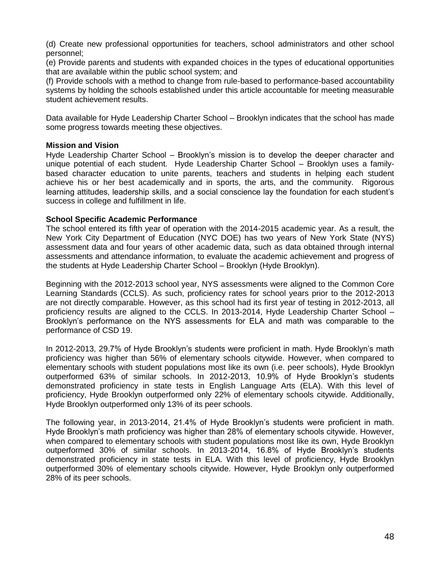(d) Create new professional opportunities for teachers, school administrators and other school personnel;

(e) Provide parents and students with expanded choices in the types of educational opportunities that are available within the public school system; and

(f) Provide schools with a method to change from rule-based to performance-based accountability systems by holding the schools established under this article accountable for meeting measurable student achievement results.

Data available for Hyde Leadership Charter School – Brooklyn indicates that the school has made some progress towards meeting these objectives.

#### **Mission and Vision**

Hyde Leadership Charter School – Brooklyn's mission is to develop the deeper character and unique potential of each student. Hyde Leadership Charter School – Brooklyn uses a familybased character education to unite parents, teachers and students in helping each student achieve his or her best academically and in sports, the arts, and the community. Rigorous learning attitudes, leadership skills, and a social conscience lay the foundation for each student's success in college and fulfillment in life.

#### **School Specific Academic Performance**

The school entered its fifth year of operation with the 2014-2015 academic year. As a result, the New York City Department of Education (NYC DOE) has two years of New York State (NYS) assessment data and four years of other academic data, such as data obtained through internal assessments and attendance information, to evaluate the academic achievement and progress of the students at Hyde Leadership Charter School – Brooklyn (Hyde Brooklyn).

Beginning with the 2012-2013 school year, NYS assessments were aligned to the Common Core Learning Standards (CCLS). As such, proficiency rates for school years prior to the 2012-2013 are not directly comparable. However, as this school had its first year of testing in 2012-2013, all proficiency results are aligned to the CCLS. In 2013-2014, Hyde Leadership Charter School – Brooklyn's performance on the NYS assessments for ELA and math was comparable to the performance of CSD 19.

In 2012-2013, 29.7% of Hyde Brooklyn's students were proficient in math. Hyde Brooklyn's math proficiency was higher than 56% of elementary schools citywide. However, when compared to elementary schools with student populations most like its own (i.e. peer schools), Hyde Brooklyn outperformed 63% of similar schools. In 2012-2013, 10.9% of Hyde Brooklyn's students demonstrated proficiency in state tests in English Language Arts (ELA). With this level of proficiency, Hyde Brooklyn outperformed only 22% of elementary schools citywide. Additionally, Hyde Brooklyn outperformed only 13% of its peer schools.

The following year, in 2013-2014, 21.4% of Hyde Brooklyn's students were proficient in math. Hyde Brooklyn's math proficiency was higher than 28% of elementary schools citywide. However, when compared to elementary schools with student populations most like its own, Hyde Brooklyn outperformed 30% of similar schools. In 2013-2014, 16.8% of Hyde Brooklyn's students demonstrated proficiency in state tests in ELA. With this level of proficiency, Hyde Brooklyn outperformed 30% of elementary schools citywide. However, Hyde Brooklyn only outperformed 28% of its peer schools.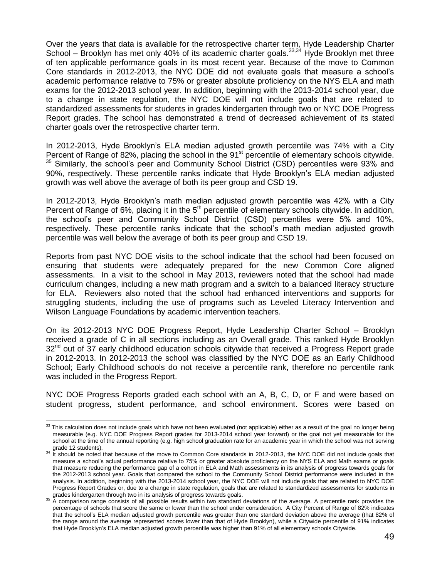Over the years that data is available for the retrospective charter term, Hyde Leadership Charter School – Brooklyn has met only 40% of its academic charter goals.  $33,34$  Hyde Brooklyn met three of ten applicable performance goals in its most recent year. Because of the move to Common Core standards in 2012-2013, the NYC DOE did not evaluate goals that measure a school's academic performance relative to 75% or greater absolute proficiency on the NYS ELA and math exams for the 2012-2013 school year. In addition, beginning with the 2013-2014 school year, due to a change in state regulation, the NYC DOE will not include goals that are related to standardized assessments for students in grades kindergarten through two or NYC DOE Progress Report grades. The school has demonstrated a trend of decreased achievement of its stated charter goals over the retrospective charter term.

In 2012-2013, Hyde Brooklyn's ELA median adjusted growth percentile was 74% with a City Percent of Range of 82%, placing the school in the  $91<sup>st</sup>$  percentile of elementary schools citywide.  $35$  Similarly, the school's peer and Community School District (CSD) percentiles were 93% and 90%, respectively. These percentile ranks indicate that Hyde Brooklyn's ELA median adjusted growth was well above the average of both its peer group and CSD 19.

In 2012-2013, Hyde Brooklyn's math median adjusted growth percentile was 42% with a City Percent of Range of 6%, placing it in the 5<sup>th</sup> percentile of elementary schools citywide. In addition, the school's peer and Community School District (CSD) percentiles were 5% and 10%, respectively. These percentile ranks indicate that the school's math median adjusted growth percentile was well below the average of both its peer group and CSD 19.

Reports from past NYC DOE visits to the school indicate that the school had been focused on ensuring that students were adequately prepared for the new Common Core aligned assessments. In a visit to the school in May 2013, reviewers noted that the school had made curriculum changes, including a new math program and a switch to a balanced literacy structure for ELA. Reviewers also noted that the school had enhanced interventions and supports for struggling students, including the use of programs such as Leveled Literacy Intervention and Wilson Language Foundations by academic intervention teachers.

On its 2012-2013 NYC DOE Progress Report, Hyde Leadership Charter School – Brooklyn received a grade of C in all sections including as an Overall grade. This ranked Hyde Brooklyn  $32<sup>nd</sup>$  out of 37 early childhood education schools citywide that received a Progress Report grade in 2012-2013. In 2012-2013 the school was classified by the NYC DOE as an Early Childhood School; Early Childhood schools do not receive a percentile rank, therefore no percentile rank was included in the Progress Report.

NYC DOE Progress Reports graded each school with an A, B, C, D, or F and were based on student progress, student performance, and school environment. Scores were based on

 $\overline{a}$ 

 $33$  This calculation does not include goals which have not been evaluated (not applicable) either as a result of the goal no longer being measurable (e.g. NYC DOE Progress Report grades for 2013-2014 school year forward) or the goal not yet measurable for the school at the time of the annual reporting (e.g. high school graduation rate for an academic year in which the school was not serving

grade 12 students).<br><sup>34</sup> It should be noted that because of the move to Common Core standards in 2012-2013, the NYC DOE did not include goals that measure a school's actual performance relative to 75% or greater absolute proficiency on the NYS ELA and Math exams or goals that measure reducing the performance gap of a cohort in ELA and Math assessments in its analysis of progress towards goals for the 2012-2013 school year. Goals that compared the school to the Community School District performance were included in the analysis. In addition, beginning with the 2013-2014 school year, the NYC DOE will not include goals that are related to NYC DOE Progress Report Grades or, due to a change in state regulation, goals that are related to standardized assessments for students in grades kindergarten through two in its analysis of progress towards goals.

<sup>&</sup>lt;sup>35</sup> A comparison range consists of all possible results within two standard deviations of the average. A percentile rank provides the percentage of schools that score the same or lower than the school under consideration. A City Percent of Range of 82% indicates that the school's ELA median adjusted growth percentile was greater than one standard deviation above the average (that 82% of the range around the average represented scores lower than that of Hyde Brooklyn), while a Citywide percentile of 91% indicates that Hyde Brooklyn's ELA median adjusted growth percentile was higher than 91% of all elementary schools Citywide.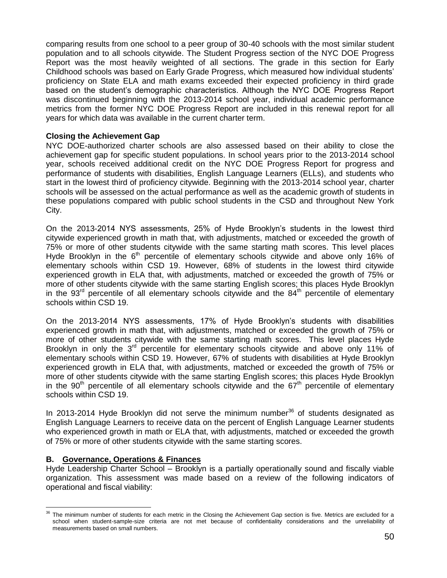comparing results from one school to a peer group of 30-40 schools with the most similar student population and to all schools citywide. The Student Progress section of the NYC DOE Progress Report was the most heavily weighted of all sections. The grade in this section for Early Childhood schools was based on Early Grade Progress, which measured how individual students' proficiency on State ELA and math exams exceeded their expected proficiency in third grade based on the student's demographic characteristics. Although the NYC DOE Progress Report was discontinued beginning with the 2013-2014 school year, individual academic performance metrics from the former NYC DOE Progress Report are included in this renewal report for all years for which data was available in the current charter term.

#### **Closing the Achievement Gap**

NYC DOE-authorized charter schools are also assessed based on their ability to close the achievement gap for specific student populations. In school years prior to the 2013-2014 school year, schools received additional credit on the NYC DOE Progress Report for progress and performance of students with disabilities, English Language Learners (ELLs), and students who start in the lowest third of proficiency citywide. Beginning with the 2013-2014 school year, charter schools will be assessed on the actual performance as well as the academic growth of students in these populations compared with public school students in the CSD and throughout New York City.

On the 2013-2014 NYS assessments, 25% of Hyde Brooklyn's students in the lowest third citywide experienced growth in math that, with adjustments, matched or exceeded the growth of 75% or more of other students citywide with the same starting math scores. This level places Hyde Brooklyn in the  $6<sup>th</sup>$  percentile of elementary schools citywide and above only 16% of elementary schools within CSD 19. However, 68% of students in the lowest third citywide experienced growth in ELA that, with adjustments, matched or exceeded the growth of 75% or more of other students citywide with the same starting English scores; this places Hyde Brooklyn in the  $93<sup>rd</sup>$  percentile of all elementary schools citywide and the  $84<sup>th</sup>$  percentile of elementary schools within CSD 19.

On the 2013-2014 NYS assessments, 17% of Hyde Brooklyn's students with disabilities experienced growth in math that, with adjustments, matched or exceeded the growth of 75% or more of other students citywide with the same starting math scores. This level places Hyde Brooklyn in only the  $3<sup>rd</sup>$  percentile for elementary schools citywide and above only 11% of elementary schools within CSD 19. However, 67% of students with disabilities at Hyde Brooklyn experienced growth in ELA that, with adjustments, matched or exceeded the growth of 75% or more of other students citywide with the same starting English scores; this places Hyde Brooklyn in the 90<sup>th</sup> percentile of all elementary schools citywide and the 67<sup>th</sup> percentile of elementary schools within CSD 19.

In 2013-2014 Hyde Brooklyn did not serve the minimum number<sup>36</sup> of students designated as English Language Learners to receive data on the percent of English Language Learner students who experienced growth in math or ELA that, with adjustments, matched or exceeded the growth of 75% or more of other students citywide with the same starting scores.

#### **B. Governance, Operations & Finances**

Hyde Leadership Charter School – Brooklyn is a partially operationally sound and fiscally viable organization. This assessment was made based on a review of the following indicators of operational and fiscal viability:

 $\overline{a}$  $36$  The minimum number of students for each metric in the Closing the Achievement Gap section is five. Metrics are excluded for a school when student-sample-size criteria are not met because of confidentiality considerations and the unreliability of measurements based on small numbers.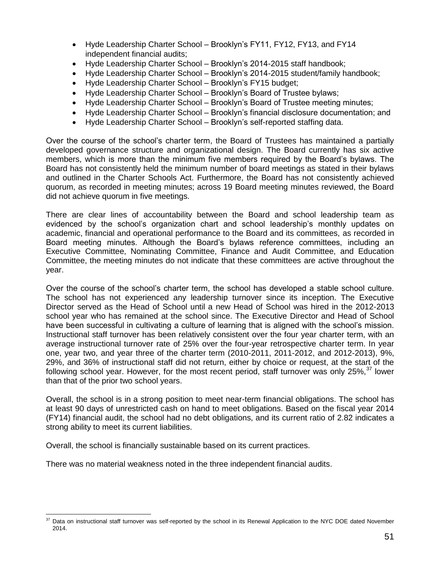- Hyde Leadership Charter School Brooklyn's FY11, FY12, FY13, and FY14 independent financial audits;
- Hyde Leadership Charter School Brooklyn's 2014-2015 staff handbook;
- Hyde Leadership Charter School Brooklyn's 2014-2015 student/family handbook;
- Hyde Leadership Charter School Brooklyn's FY15 budget;
- Hyde Leadership Charter School Brooklyn's Board of Trustee bylaws;
- Hyde Leadership Charter School Brooklyn's Board of Trustee meeting minutes;
- Hyde Leadership Charter School Brooklyn's financial disclosure documentation; and
- Hyde Leadership Charter School Brooklyn's self-reported staffing data.

Over the course of the school's charter term, the Board of Trustees has maintained a partially developed governance structure and organizational design. The Board currently has six active members, which is more than the minimum five members required by the Board's bylaws. The Board has not consistently held the minimum number of board meetings as stated in their bylaws and outlined in the Charter Schools Act. Furthermore, the Board has not consistently achieved quorum, as recorded in meeting minutes; across 19 Board meeting minutes reviewed, the Board did not achieve quorum in five meetings.

There are clear lines of accountability between the Board and school leadership team as evidenced by the school's organization chart and school leadership's monthly updates on academic, financial and operational performance to the Board and its committees, as recorded in Board meeting minutes. Although the Board's bylaws reference committees, including an Executive Committee, Nominating Committee, Finance and Audit Committee, and Education Committee, the meeting minutes do not indicate that these committees are active throughout the year.

Over the course of the school's charter term, the school has developed a stable school culture. The school has not experienced any leadership turnover since its inception. The Executive Director served as the Head of School until a new Head of School was hired in the 2012-2013 school year who has remained at the school since. The Executive Director and Head of School have been successful in cultivating a culture of learning that is aligned with the school's mission. Instructional staff turnover has been relatively consistent over the four year charter term, with an average instructional turnover rate of 25% over the four-year retrospective charter term. In year one, year two, and year three of the charter term (2010-2011, 2011-2012, and 2012-2013), 9%, 29%, and 36% of instructional staff did not return, either by choice or request, at the start of the following school year. However, for the most recent period, staff turnover was only 25%.<sup>37</sup> lower than that of the prior two school years.

Overall, the school is in a strong position to meet near-term financial obligations. The school has at least 90 days of unrestricted cash on hand to meet obligations. Based on the fiscal year 2014 (FY14) financial audit, the school had no debt obligations, and its current ratio of 2.82 indicates a strong ability to meet its current liabilities.

Overall, the school is financially sustainable based on its current practices.

There was no material weakness noted in the three independent financial audits.

 $\overline{a}$ Data on instructional staff turnover was self-reported by the school in its Renewal Application to the NYC DOE dated November 2014.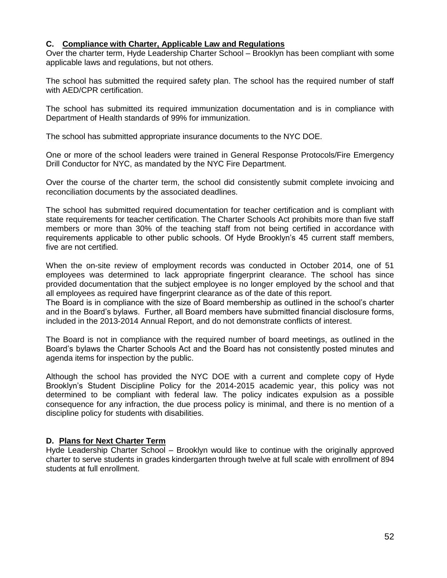#### **C. Compliance with Charter, Applicable Law and Regulations**

Over the charter term, Hyde Leadership Charter School – Brooklyn has been compliant with some applicable laws and regulations, but not others.

The school has submitted the required safety plan. The school has the required number of staff with AED/CPR certification.

The school has submitted its required immunization documentation and is in compliance with Department of Health standards of 99% for immunization.

The school has submitted appropriate insurance documents to the NYC DOE.

One or more of the school leaders were trained in General Response Protocols/Fire Emergency Drill Conductor for NYC, as mandated by the NYC Fire Department.

Over the course of the charter term, the school did consistently submit complete invoicing and reconciliation documents by the associated deadlines.

The school has submitted required documentation for teacher certification and is compliant with state requirements for teacher certification. The Charter Schools Act prohibits more than five staff members or more than 30% of the teaching staff from not being certified in accordance with requirements applicable to other public schools. Of Hyde Brooklyn's 45 current staff members, five are not certified.

When the on-site review of employment records was conducted in October 2014, one of 51 employees was determined to lack appropriate fingerprint clearance. The school has since provided documentation that the subject employee is no longer employed by the school and that all employees as required have fingerprint clearance as of the date of this report.

The Board is in compliance with the size of Board membership as outlined in the school's charter and in the Board's bylaws. Further, all Board members have submitted financial disclosure forms, included in the 2013-2014 Annual Report, and do not demonstrate conflicts of interest.

The Board is not in compliance with the required number of board meetings, as outlined in the Board's bylaws the Charter Schools Act and the Board has not consistently posted minutes and agenda items for inspection by the public.

Although the school has provided the NYC DOE with a current and complete copy of Hyde Brooklyn's Student Discipline Policy for the 2014-2015 academic year, this policy was not determined to be compliant with federal law. The policy indicates expulsion as a possible consequence for any infraction, the due process policy is minimal, and there is no mention of a discipline policy for students with disabilities.

#### **D. Plans for Next Charter Term**

Hyde Leadership Charter School – Brooklyn would like to continue with the originally approved charter to serve students in grades kindergarten through twelve at full scale with enrollment of 894 students at full enrollment.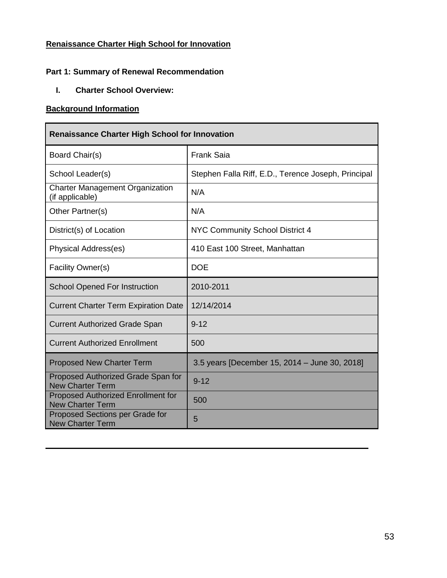## **Renaissance Charter High School for Innovation**

## **Part 1: Summary of Renewal Recommendation**

**I. Charter School Overview:**

### **Background Information**

| <b>Renaissance Charter High School for Innovation</b>                |                                                     |  |  |  |  |
|----------------------------------------------------------------------|-----------------------------------------------------|--|--|--|--|
| Board Chair(s)                                                       | <b>Frank Saia</b>                                   |  |  |  |  |
| School Leader(s)                                                     | Stephen Falla Riff, E.D., Terence Joseph, Principal |  |  |  |  |
| <b>Charter Management Organization</b><br>(if applicable)            | N/A                                                 |  |  |  |  |
| Other Partner(s)                                                     | N/A                                                 |  |  |  |  |
| District(s) of Location                                              | NYC Community School District 4                     |  |  |  |  |
| Physical Address(es)                                                 | 410 East 100 Street, Manhattan                      |  |  |  |  |
| Facility Owner(s)                                                    | <b>DOE</b>                                          |  |  |  |  |
| <b>School Opened For Instruction</b>                                 | 2010-2011                                           |  |  |  |  |
| <b>Current Charter Term Expiration Date</b>                          | 12/14/2014                                          |  |  |  |  |
| <b>Current Authorized Grade Span</b>                                 | $9 - 12$                                            |  |  |  |  |
| <b>Current Authorized Enrollment</b>                                 | 500                                                 |  |  |  |  |
| <b>Proposed New Charter Term</b>                                     | 3.5 years [December 15, 2014 - June 30, 2018]       |  |  |  |  |
| Proposed Authorized Grade Span for<br><b>New Charter Term</b>        | $9 - 12$                                            |  |  |  |  |
| <b>Proposed Authorized Enrollment for</b><br><b>New Charter Term</b> | 500                                                 |  |  |  |  |
|                                                                      |                                                     |  |  |  |  |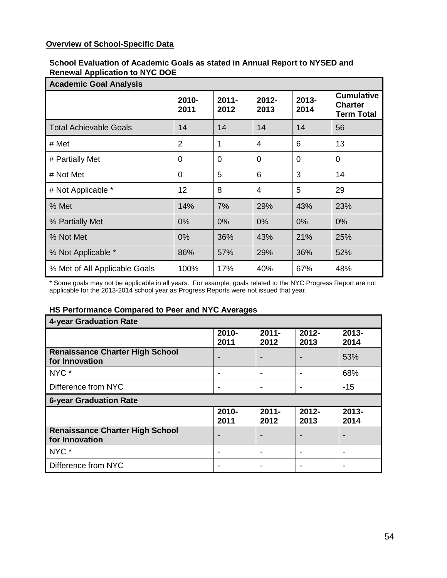## **Overview of School-Specific Data**

#### **School Evaluation of Academic Goals as stated in Annual Report to NYSED and Renewal Application to NYC DOE**

| <b>Academic Goal Analysis</b> |                |                  |                |                  |                                                          |
|-------------------------------|----------------|------------------|----------------|------------------|----------------------------------------------------------|
|                               | 2010-<br>2011  | $2011 -$<br>2012 | 2012-<br>2013  | $2013 -$<br>2014 | <b>Cumulative</b><br><b>Charter</b><br><b>Term Total</b> |
| <b>Total Achievable Goals</b> | 14             | 14               | 14             | 14               | 56                                                       |
| # Met                         | $\overline{2}$ | 1                | 4              | 6                | 13                                                       |
| # Partially Met               | $\Omega$       | $\Omega$         | $\overline{0}$ | $\overline{0}$   | $\Omega$                                                 |
| # Not Met                     | $\overline{0}$ | 5                | 6              | 3                | 14                                                       |
| # Not Applicable *            | 12             | 8                | 4              | 5                | 29                                                       |
| % Met                         | 14%            | 7%               | 29%            | 43%              | 23%                                                      |
| % Partially Met               | 0%             | 0%               | 0%             | 0%               | 0%                                                       |
| % Not Met                     | 0%             | 36%              | 43%            | 21%              | 25%                                                      |
| % Not Applicable *            | 86%            | 57%              | 29%            | 36%              | 52%                                                      |
| % Met of All Applicable Goals | 100%           | 17%              | 40%            | 67%              | 48%                                                      |

\* Some goals may not be applicable in all years. For example, goals related to the NYC Progress Report are not applicable for the 2013-2014 school year as Progress Reports were not issued that year.

#### **HS Performance Compared to Peer and NYC Averages**

| 4-year Graduation Rate                                   |                          |                  |                  |                  |  |
|----------------------------------------------------------|--------------------------|------------------|------------------|------------------|--|
|                                                          | 2010-<br>2011            | $2011 -$<br>2012 | $2012 -$<br>2013 | $2013 -$<br>2014 |  |
| <b>Renaissance Charter High School</b><br>for Innovation |                          |                  |                  | 53%              |  |
| NYC <sup>*</sup>                                         | $\overline{\phantom{0}}$ |                  |                  | 68%              |  |
| Difference from NYC                                      | $\overline{\phantom{a}}$ |                  |                  | $-15$            |  |
| <b>6-year Graduation Rate</b>                            |                          |                  |                  |                  |  |
|                                                          |                          |                  |                  |                  |  |
|                                                          | 2010-<br>2011            | $2011 -$<br>2012 | $2012 -$<br>2013 | $2013 -$<br>2014 |  |
| <b>Renaissance Charter High School</b><br>for Innovation |                          |                  |                  |                  |  |
| NYC <sup>*</sup>                                         |                          |                  |                  |                  |  |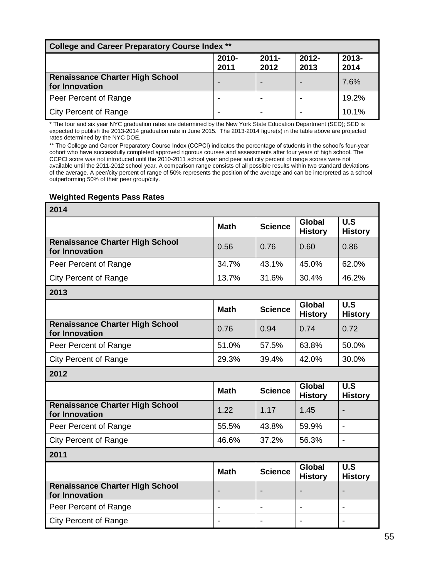| <b>College and Career Preparatory Course Index **</b>    |               |                  |                  |                  |
|----------------------------------------------------------|---------------|------------------|------------------|------------------|
|                                                          | 2010-<br>2011 | $2011 -$<br>2012 | $2012 -$<br>2013 | $2013 -$<br>2014 |
| <b>Renaissance Charter High School</b><br>for Innovation |               |                  |                  | 7.6%             |
| Peer Percent of Range                                    | -             |                  |                  | 19.2%            |
| <b>City Percent of Range</b>                             |               |                  |                  | 10.1%            |

\* The four and six year NYC graduation rates are determined by the New York State Education Department (SED); SED is expected to publish the 2013-2014 graduation rate in June 2015. The 2013-2014 figure(s) in the table above are projected rates determined by the NYC DOE.

\*\* The College and Career Preparatory Course Index (CCPCI) indicates the percentage of students in the school's four-year cohort who have successfully completed approved rigorous courses and assessments after four years of high school. The CCPCI score was not introduced until the 2010-2011 school year and peer and city percent of range scores were not available until the 2011-2012 school year. A comparison range consists of all possible results within two standard deviations of the average. A peer/city percent of range of 50% represents the position of the average and can be interpreted as a school outperforming 50% of their peer group/city.

#### **Weighted Regents Pass Rates**

| 2014                                                     |             |                              |                                 |                       |
|----------------------------------------------------------|-------------|------------------------------|---------------------------------|-----------------------|
|                                                          | <b>Math</b> | <b>Science</b>               | <b>Global</b><br><b>History</b> | U.S<br><b>History</b> |
| <b>Renaissance Charter High School</b><br>for Innovation | 0.56        | 0.76                         | 0.60                            | 0.86                  |
| Peer Percent of Range                                    | 34.7%       | 43.1%                        | 45.0%                           | 62.0%                 |
| <b>City Percent of Range</b>                             | 13.7%       | 31.6%                        | 30.4%                           | 46.2%                 |
| 2013                                                     |             |                              |                                 |                       |
|                                                          | <b>Math</b> | <b>Science</b>               | <b>Global</b><br><b>History</b> | U.S<br><b>History</b> |
| <b>Renaissance Charter High School</b><br>for Innovation | 0.76        | 0.94                         | 0.74                            | 0.72                  |
| Peer Percent of Range                                    | 51.0%       | 57.5%                        | 63.8%                           | 50.0%                 |
| <b>City Percent of Range</b>                             | 29.3%       | 39.4%                        | 42.0%                           | 30.0%                 |
| 2012                                                     |             |                              |                                 |                       |
|                                                          | <b>Math</b> | <b>Science</b>               | <b>Global</b><br><b>History</b> | U.S<br><b>History</b> |
| <b>Renaissance Charter High School</b><br>for Innovation | 1.22        | 1.17                         | 1.45                            |                       |
| Peer Percent of Range                                    | 55.5%       | 43.8%                        | 59.9%                           | $\overline{a}$        |
| <b>City Percent of Range</b>                             | 46.6%       | 37.2%                        | 56.3%                           | $\overline{a}$        |
| 2011                                                     |             |                              |                                 |                       |
|                                                          | <b>Math</b> | <b>Science</b>               | <b>Global</b><br><b>History</b> | U.S<br><b>History</b> |
| <b>Renaissance Charter High School</b><br>for Innovation |             | $\overline{\phantom{0}}$     |                                 |                       |
| Peer Percent of Range                                    |             | $\qquad \qquad \blacksquare$ | $\overline{\phantom{a}}$        |                       |
| <b>City Percent of Range</b>                             |             |                              |                                 |                       |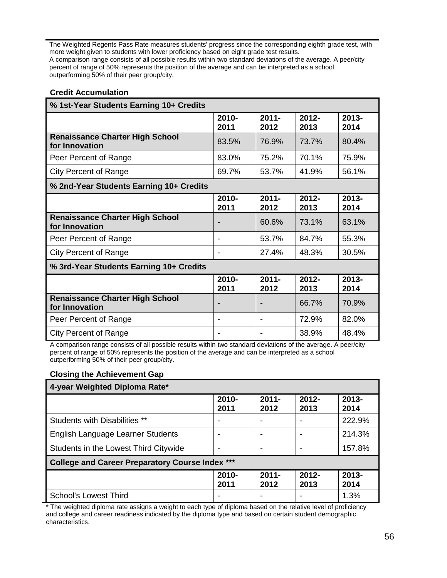The Weighted Regents Pass Rate measures students' progress since the corresponding eighth grade test, with more weight given to students with lower proficiency based on eight grade test results. A comparison range consists of all possible results within two standard deviations of the average. A peer/city percent of range of 50% represents the position of the average and can be interpreted as a school outperforming 50% of their peer group/city.

#### **Credit Accumulation**

| % 1st-Year Students Earning 10+ Credits                  |                  |                          |                  |                  |
|----------------------------------------------------------|------------------|--------------------------|------------------|------------------|
|                                                          | $2010 -$<br>2011 | $2011 -$<br>2012         | $2012 -$<br>2013 | 2013-<br>2014    |
| <b>Renaissance Charter High School</b><br>for Innovation | 83.5%            | 76.9%                    | 73.7%            | 80.4%            |
| Peer Percent of Range                                    | 83.0%            | 75.2%                    | 70.1%            | 75.9%            |
| <b>City Percent of Range</b>                             | 69.7%            | 53.7%                    | 41.9%            | 56.1%            |
| % 2nd-Year Students Earning 10+ Credits                  |                  |                          |                  |                  |
|                                                          | $2010 -$<br>2011 | $2011 -$<br>2012         | $2012 -$<br>2013 | $2013 -$<br>2014 |
| <b>Renaissance Charter High School</b><br>for Innovation |                  | 60.6%                    | 73.1%            | 63.1%            |
| Peer Percent of Range                                    |                  | 53.7%                    | 84.7%            | 55.3%            |
| <b>City Percent of Range</b>                             |                  | 27.4%                    | 48.3%            | 30.5%            |
| % 3rd-Year Students Earning 10+ Credits                  |                  |                          |                  |                  |
|                                                          | 2010-<br>2011    | $2011 -$<br>2012         | $2012 -$<br>2013 | $2013 -$<br>2014 |
| <b>Renaissance Charter High School</b><br>for Innovation |                  |                          | 66.7%            | 70.9%            |
| Peer Percent of Range                                    |                  | $\overline{\phantom{a}}$ | 72.9%            | 82.0%            |
| <b>City Percent of Range</b><br><b>PER 1999</b>          |                  |                          | 38.9%            | 48.4%            |

A comparison range consists of all possible results within two standard deviations of the average. A peer/city percent of range of 50% represents the position of the average and can be interpreted as a school outperforming 50% of their peer group/city.

#### **Closing the Achievement Gap**

| 4-year Weighted Diploma Rate*                          |                  |                  |                  |                  |
|--------------------------------------------------------|------------------|------------------|------------------|------------------|
|                                                        | 2010-<br>2011    | $2011 -$<br>2012 | $2012 -$<br>2013 | $2013 -$<br>2014 |
| <b>Students with Disabilities **</b>                   |                  | -                |                  | 222.9%           |
| English Language Learner Students                      |                  |                  |                  | 214.3%           |
| Students in the Lowest Third Citywide                  |                  | ۰                |                  | 157.8%           |
| <b>College and Career Preparatory Course Index ***</b> |                  |                  |                  |                  |
|                                                        | $2010 -$<br>2011 | $2011 -$<br>2012 | $2012 -$<br>2013 | $2013 -$<br>2014 |
| School's Lowest Third                                  |                  | ۰                |                  | 1.3%             |

\* The weighted diploma rate assigns a weight to each type of diploma based on the relative level of proficiency and college and career readiness indicated by the diploma type and based on certain student demographic characteristics.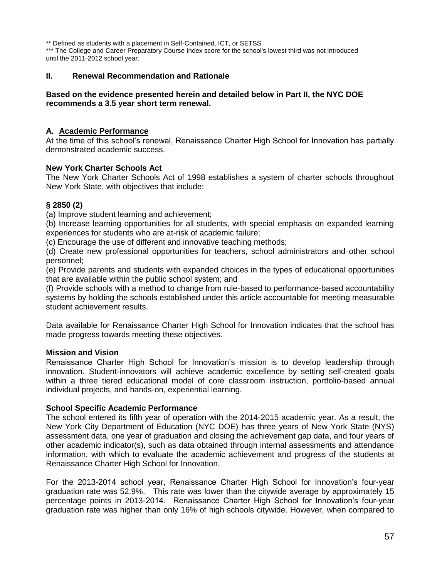\*\* Defined as students with a placement in Self-Contained, ICT, or SETSS \*\*\* The College and Career Preparatory Course Index score for the school's lowest third was not introduced until the 2011-2012 school year.

#### **II. Renewal Recommendation and Rationale**

#### **Based on the evidence presented herein and detailed below in Part II, the NYC DOE recommends a 3.5 year short term renewal.**

#### **A. Academic Performance**

At the time of this school's renewal, Renaissance Charter High School for Innovation has partially demonstrated academic success.

#### **New York Charter Schools Act**

The New York Charter Schools Act of 1998 establishes a system of charter schools throughout New York State, with objectives that include:

#### **§ 2850 (2)**

(a) Improve student learning and achievement;

(b) Increase learning opportunities for all students, with special emphasis on expanded learning experiences for students who are at-risk of academic failure;

(c) Encourage the use of different and innovative teaching methods;

(d) Create new professional opportunities for teachers, school administrators and other school personnel;

(e) Provide parents and students with expanded choices in the types of educational opportunities that are available within the public school system; and

(f) Provide schools with a method to change from rule-based to performance-based accountability systems by holding the schools established under this article accountable for meeting measurable student achievement results.

Data available for Renaissance Charter High School for Innovation indicates that the school has made progress towards meeting these objectives.

#### **Mission and Vision**

Renaissance Charter High School for Innovation's mission is to develop leadership through innovation. Student-innovators will achieve academic excellence by setting self-created goals within a three tiered educational model of core classroom instruction, portfolio-based annual individual projects, and hands-on, experiential learning.

#### **School Specific Academic Performance**

The school entered its fifth year of operation with the 2014-2015 academic year. As a result, the New York City Department of Education (NYC DOE) has three years of New York State (NYS) assessment data, one year of graduation and closing the achievement gap data, and four years of other academic indicator(s), such as data obtained through internal assessments and attendance information, with which to evaluate the academic achievement and progress of the students at Renaissance Charter High School for Innovation.

For the 2013-2014 school year, Renaissance Charter High School for Innovation's four-year graduation rate was 52.9%. This rate was lower than the citywide average by approximately 15 percentage points in 2013-2014. Renaissance Charter High School for Innovation's four-year graduation rate was higher than only 16% of high schools citywide. However, when compared to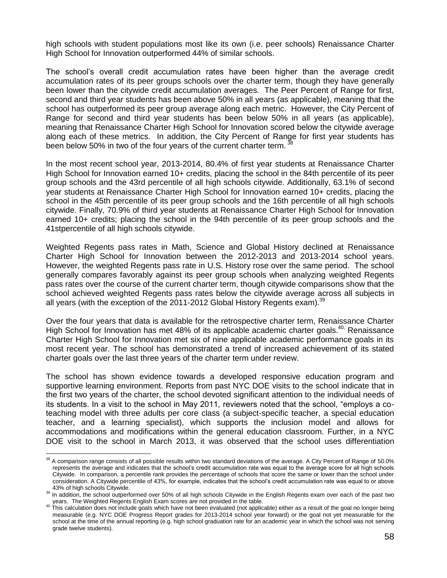high schools with student populations most like its own (i.e. peer schools) Renaissance Charter High School for Innovation outperformed 44% of similar schools.

The school's overall credit accumulation rates have been higher than the average credit accumulation rates of its peer groups schools over the charter term, though they have generally been lower than the citywide credit accumulation averages. The Peer Percent of Range for first, second and third year students has been above 50% in all years (as applicable), meaning that the school has outperformed its peer group average along each metric. However, the City Percent of Range for second and third year students has been below 50% in all years (as applicable), meaning that Renaissance Charter High School for Innovation scored below the citywide average along each of these metrics. In addition, the City Percent of Range for first year students has been below 50% in two of the four years of the current charter term.  $\frac{3}{2}$ 

In the most recent school year, 2013-2014, 80.4% of first year students at Renaissance Charter High School for Innovation earned 10+ credits, placing the school in the 84th percentile of its peer group schools and the 43rd percentile of all high schools citywide. Additionally, 63.1% of second year students at Renaissance Charter High School for Innovation earned 10+ credits, placing the school in the 45th percentile of its peer group schools and the 16th percentile of all high schools citywide. Finally, 70.9% of third year students at Renaissance Charter High School for Innovation earned 10+ credits; placing the school in the 94th percentile of its peer group schools and the 41stpercentile of all high schools citywide.

Weighted Regents pass rates in Math, Science and Global History declined at Renaissance Charter High School for Innovation between the 2012-2013 and 2013-2014 school years. However, the weighted Regents pass rate in U.S. History rose over the same period. The school generally compares favorably against its peer group schools when analyzing weighted Regents pass rates over the course of the current charter term, though citywide comparisons show that the school achieved weighted Regents pass rates below the citywide average across all subjects in all years (with the exception of the 2011-2012 Global History Regents exam).<sup>39</sup>

Over the four years that data is available for the retrospective charter term, Renaissance Charter High School for Innovation has met 48% of its applicable academic charter goals.<sup>40,</sup> Renaissance Charter High School for Innovation met six of nine applicable academic performance goals in its most recent year. The school has demonstrated a trend of increased achievement of its stated charter goals over the last three years of the charter term under review.

The school has shown evidence towards a developed responsive education program and supportive learning environment. Reports from past NYC DOE visits to the school indicate that in the first two years of the charter, the school devoted significant attention to the individual needs of its students. In a visit to the school in May 2011, reviewers noted that the school, "employs a coteaching model with three adults per core class (a subject-specific teacher, a special education teacher, and a learning specialist), which supports the inclusion model and allows for accommodations and modifications within the general education classroom. Further, in a NYC DOE visit to the school in March 2013, it was observed that the school uses differentiation

 $\overline{a}$  $38$  A comparison range consists of all possible results within two standard deviations of the average. A City Percent of Range of 50.0% represents the average and indicates that the school's credit accumulation rate was equal to the average score for all high schools Citywide. In comparison, a percentile rank provides the percentage of schools that score the same or lower than the school under consideration. A Citywide percentile of 43%, for example, indicates that the school's credit accumulation rate was equal to or above 43% of high schools Citywide.

<sup>&</sup>lt;sup>39</sup> In addition, the school outperformed over 50% of all high schools Citywide in the English Regents exam over each of the past two years. The Weighted Regents English Exam scores are not provided in the table.

<sup>40</sup> This calculation does not include goals which have not been evaluated (not applicable) either as a result of the goal no longer being measurable (e.g. NYC DOE Progress Report grades for 2013-2014 school year forward) or the goal not yet measurable for the school at the time of the annual reporting (e.g. high school graduation rate for an academic year in which the school was not serving grade twelve students).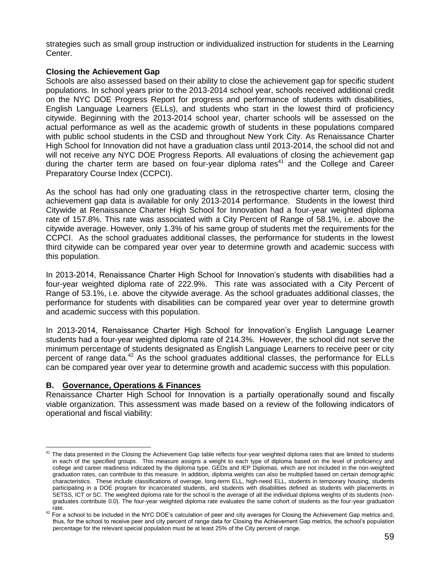strategies such as small group instruction or individualized instruction for students in the Learning Center.

#### **Closing the Achievement Gap**

Schools are also assessed based on their ability to close the achievement gap for specific student populations. In school years prior to the 2013-2014 school year, schools received additional credit on the NYC DOE Progress Report for progress and performance of students with disabilities, English Language Learners (ELLs), and students who start in the lowest third of proficiency citywide. Beginning with the 2013-2014 school year, charter schools will be assessed on the actual performance as well as the academic growth of students in these populations compared with public school students in the CSD and throughout New York City. As Renaissance Charter High School for Innovation did not have a graduation class until 2013-2014, the school did not and will not receive any NYC DOE Progress Reports. All evaluations of closing the achievement gap during the charter term are based on four-year diploma rates<sup>41</sup> and the College and Career Preparatory Course Index (CCPCI).

As the school has had only one graduating class in the retrospective charter term, closing the achievement gap data is available for only 2013-2014 performance. Students in the lowest third Citywide at Renaissance Charter High School for Innovation had a four-year weighted diploma rate of 157.8%. This rate was associated with a City Percent of Range of 58.1%, i.e. above the citywide average. However, only 1.3% of his same group of students met the requirements for the CCPCI. As the school graduates additional classes, the performance for students in the lowest third citywide can be compared year over year to determine growth and academic success with this population.

In 2013-2014, Renaissance Charter High School for Innovation's students with disabilities had a four-year weighted diploma rate of 222.9%. This rate was associated with a City Percent of Range of 53.1%, i.e. above the citywide average. As the school graduates additional classes, the performance for students with disabilities can be compared year over year to determine growth and academic success with this population.

In 2013-2014, Renaissance Charter High School for Innovation's English Language Learner students had a four-year weighted diploma rate of 214.3%. However, the school did not serve the minimum percentage of students designated as English Language Learners to receive peer or city percent of range data.<sup>42</sup> As the school graduates additional classes, the performance for ELLs can be compared year over year to determine growth and academic success with this population.

#### **B. Governance, Operations & Finances**

Renaissance Charter High School for Innovation is a partially operationally sound and fiscally viable organization. This assessment was made based on a review of the following indicators of operational and fiscal viability:

 $\overline{a}$  $41$  The data presented in the Closing the Achievement Gap table reflects four-year weighted diploma rates that are limited to students in each of the specified groups. This measure assigns a weight to each type of diploma based on the level of proficiency and college and career readiness indicated by the diploma type. GEDs and IEP Diplomas, which are not included in the non-weighted graduation rates, can contribute to this measure. In addition, diploma weights can also be multiplied based on certain demographic characteristics. These include classifications of overage, long-term ELL, high-need ELL, students in temporary housing, students participating in a DOE program for incarcerated students, and students with disabilities defined as students with placements in SETSS, ICT or SC. The weighted diploma rate for the school is the average of all the individual diploma weights of its students (nongraduates contribute 0.0). The four-year weighted diploma rate evaluates the same cohort of students as the four-year graduation rate.

<sup>&</sup>lt;sup>42</sup> For a school to be included in the NYC DOE's calculation of peer and city averages for Closing the Achievement Gap metrics and, thus, for the school to receive peer and city percent of range data for Closing the Achievement Gap metrics, the school's population percentage for the relevant special population must be at least 25% of the City percent of range.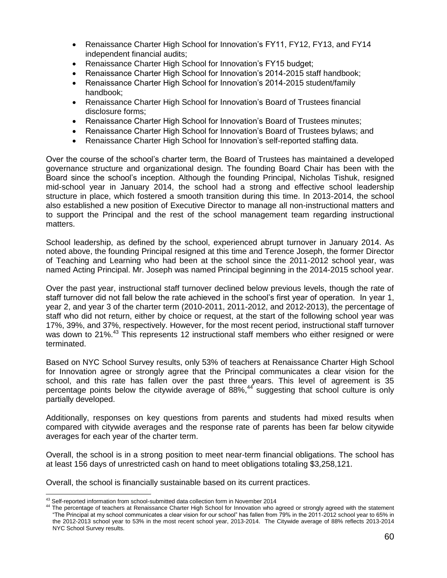- Renaissance Charter High School for Innovation's FY11, FY12, FY13, and FY14 independent financial audits;
- Renaissance Charter High School for Innovation's FY15 budget;
- Renaissance Charter High School for Innovation's 2014-2015 staff handbook;
- Renaissance Charter High School for Innovation's 2014-2015 student/family handbook;
- Renaissance Charter High School for Innovation's Board of Trustees financial disclosure forms;
- Renaissance Charter High School for Innovation's Board of Trustees minutes;
- Renaissance Charter High School for Innovation's Board of Trustees bylaws; and
- Renaissance Charter High School for Innovation's self-reported staffing data.

Over the course of the school's charter term, the Board of Trustees has maintained a developed governance structure and organizational design. The founding Board Chair has been with the Board since the school's inception. Although the founding Principal, Nicholas Tishuk, resigned mid-school year in January 2014, the school had a strong and effective school leadership structure in place, which fostered a smooth transition during this time. In 2013-2014, the school also established a new position of Executive Director to manage all non-instructional matters and to support the Principal and the rest of the school management team regarding instructional matters.

School leadership, as defined by the school, experienced abrupt turnover in January 2014. As noted above, the founding Principal resigned at this time and Terence Joseph, the former Director of Teaching and Learning who had been at the school since the 2011-2012 school year, was named Acting Principal. Mr. Joseph was named Principal beginning in the 2014-2015 school year.

Over the past year, instructional staff turnover declined below previous levels, though the rate of staff turnover did not fall below the rate achieved in the school's first year of operation. In year 1, year 2, and year 3 of the charter term (2010-2011, 2011-2012, and 2012-2013), the percentage of staff who did not return, either by choice or request, at the start of the following school year was 17%, 39%, and 37%, respectively. However, for the most recent period, instructional staff turnover was down to 21%.<sup>43</sup> This represents 12 instructional staff members who either resigned or were terminated.

Based on NYC School Survey results, only 53% of teachers at Renaissance Charter High School for Innovation agree or strongly agree that the Principal communicates a clear vision for the school, and this rate has fallen over the past three years. This level of agreement is 35 percentage points below the citywide average of 88%, $44$  suggesting that school culture is only partially developed.

Additionally, responses on key questions from parents and students had mixed results when compared with citywide averages and the response rate of parents has been far below citywide averages for each year of the charter term.

Overall, the school is in a strong position to meet near-term financial obligations. The school has at least 156 days of unrestricted cash on hand to meet obligations totaling \$3,258,121.

Overall, the school is financially sustainable based on its current practices.

 $\overline{a}$ <sup>43</sup> Self-reported information from school-submitted data collection form in November 2014

<sup>44</sup> The percentage of teachers at Renaissance Charter High School for Innovation who agreed or strongly agreed with the statement "The Principal at my school communicates a clear vision for our school" has fallen from 79% in the 2011-2012 school year to 65% in the 2012-2013 school year to 53% in the most recent school year, 2013-2014. The Citywide average of 88% reflects 2013-2014 NYC School Survey results.